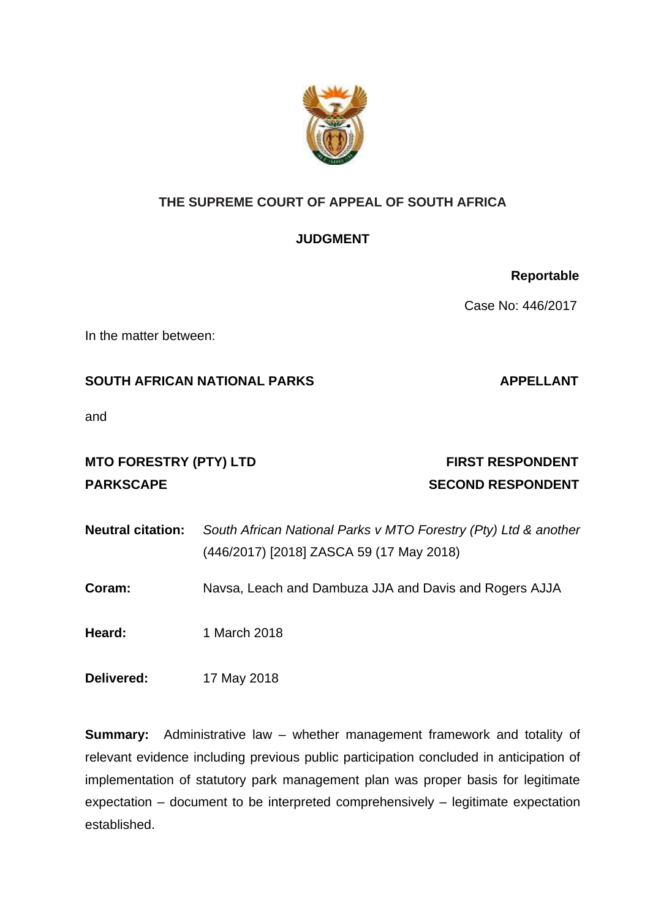

# **THE SUPREME COURT OF APPEAL OF SOUTH AFRICA**

# **JUDGMENT**

Case No: 446/2017

In the matter between:

## **SOUTH AFRICAN NATIONAL PARKS APPELLANT**

and

# MTO FORESTRY (PTY) LTD FIRST RESPONDENT PARKSCAPE SECOND RESPONDENT

- **Neutral citation:** *South African National Parks v MTO Forestry (Pty) Ltd & another* (446/2017) [2018] ZASCA 59 (17 May 2018)
- **Coram:** Navsa, Leach and Dambuza JJA and Davis and Rogers AJJA

**Heard:** 1 March 2018

**Delivered:** 17 May 2018

**Summary:** Administrative law – whether management framework and totality of relevant evidence including previous public participation concluded in anticipation of implementation of statutory park management plan was proper basis for legitimate expectation – document to be interpreted comprehensively – legitimate expectation established.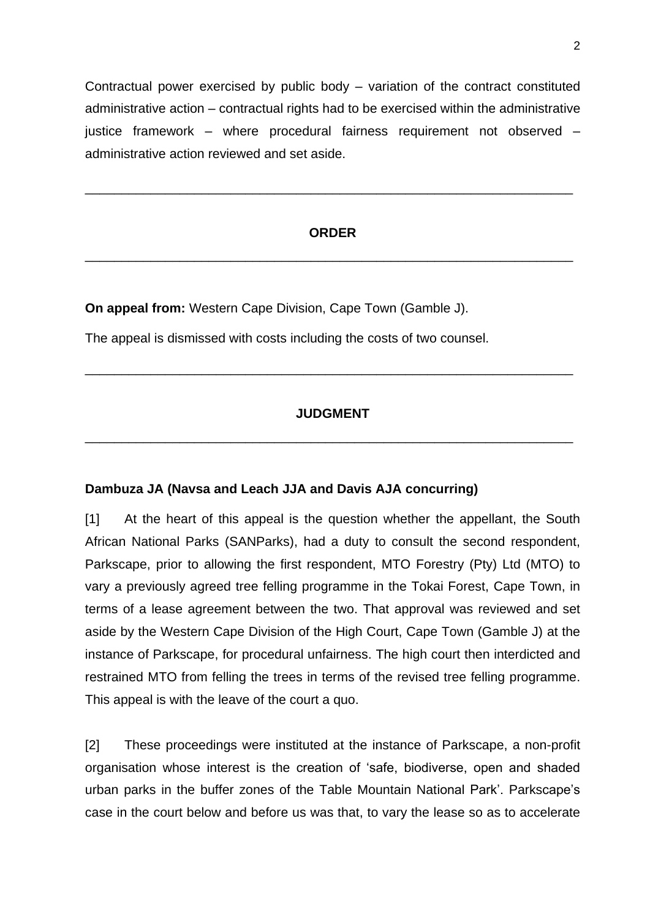Contractual power exercised by public body – variation of the contract constituted administrative action – contractual rights had to be exercised within the administrative justice framework – where procedural fairness requirement not observed – administrative action reviewed and set aside.

#### **ORDER**

\_\_\_\_\_\_\_\_\_\_\_\_\_\_\_\_\_\_\_\_\_\_\_\_\_\_\_\_\_\_\_\_\_\_\_\_\_\_\_\_\_\_\_\_\_\_\_\_\_\_\_\_\_\_\_\_\_\_\_\_\_\_\_\_\_\_\_

\_\_\_\_\_\_\_\_\_\_\_\_\_\_\_\_\_\_\_\_\_\_\_\_\_\_\_\_\_\_\_\_\_\_\_\_\_\_\_\_\_\_\_\_\_\_\_\_\_\_\_\_\_\_\_\_\_\_\_\_\_\_\_\_\_\_\_

**On appeal from:** Western Cape Division, Cape Town (Gamble J).

The appeal is dismissed with costs including the costs of two counsel.

### **JUDGMENT**

\_\_\_\_\_\_\_\_\_\_\_\_\_\_\_\_\_\_\_\_\_\_\_\_\_\_\_\_\_\_\_\_\_\_\_\_\_\_\_\_\_\_\_\_\_\_\_\_\_\_\_\_\_\_\_\_\_\_\_\_\_\_\_\_\_\_\_

\_\_\_\_\_\_\_\_\_\_\_\_\_\_\_\_\_\_\_\_\_\_\_\_\_\_\_\_\_\_\_\_\_\_\_\_\_\_\_\_\_\_\_\_\_\_\_\_\_\_\_\_\_\_\_\_\_\_\_\_\_\_\_\_\_\_\_

#### **Dambuza JA (Navsa and Leach JJA and Davis AJA concurring)**

[1] At the heart of this appeal is the question whether the appellant, the South African National Parks (SANParks), had a duty to consult the second respondent, Parkscape, prior to allowing the first respondent, MTO Forestry (Pty) Ltd (MTO) to vary a previously agreed tree felling programme in the Tokai Forest, Cape Town, in terms of a lease agreement between the two. That approval was reviewed and set aside by the Western Cape Division of the High Court, Cape Town (Gamble J) at the instance of Parkscape, for procedural unfairness. The high court then interdicted and restrained MTO from felling the trees in terms of the revised tree felling programme. This appeal is with the leave of the court a quo.

[2] These proceedings were instituted at the instance of Parkscape, a non-profit organisation whose interest is the creation of 'safe, biodiverse, open and shaded urban parks in the buffer zones of the Table Mountain National Park'. Parkscape's case in the court below and before us was that, to vary the lease so as to accelerate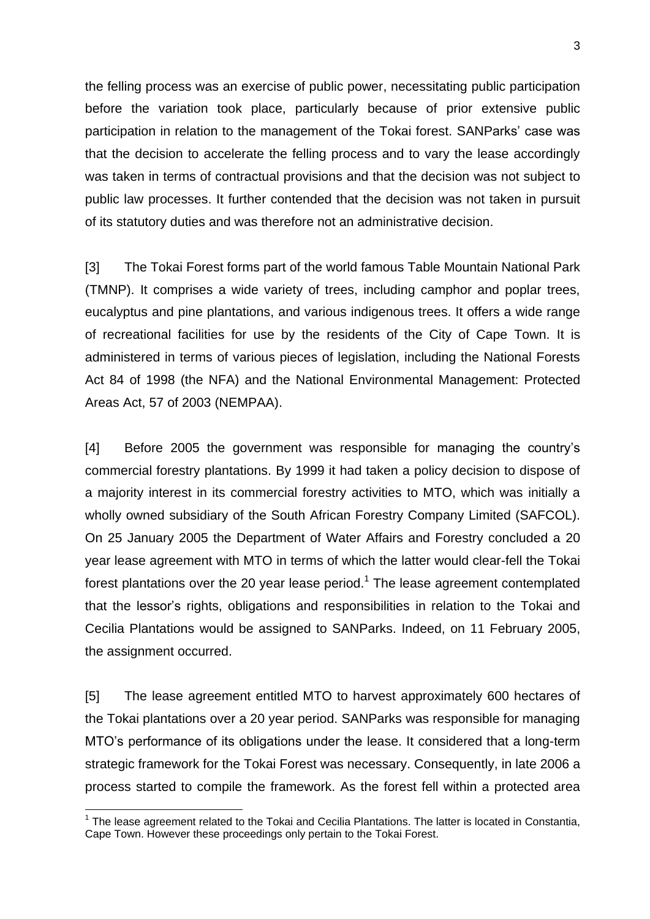the felling process was an exercise of public power, necessitating public participation before the variation took place, particularly because of prior extensive public participation in relation to the management of the Tokai forest. SANParks' case was that the decision to accelerate the felling process and to vary the lease accordingly was taken in terms of contractual provisions and that the decision was not subject to public law processes. It further contended that the decision was not taken in pursuit of its statutory duties and was therefore not an administrative decision.

[3] The Tokai Forest forms part of the world famous Table Mountain National Park (TMNP). It comprises a wide variety of trees, including camphor and poplar trees, eucalyptus and pine plantations, and various indigenous trees. It offers a wide range of recreational facilities for use by the residents of the City of Cape Town. It is administered in terms of various pieces of legislation, including the National Forests Act 84 of 1998 (the NFA) and the National Environmental Management: Protected Areas Act, 57 of 2003 (NEMPAA).

[4] Before 2005 the government was responsible for managing the country's commercial forestry plantations. By 1999 it had taken a policy decision to dispose of a majority interest in its commercial forestry activities to MTO, which was initially a wholly owned subsidiary of the South African Forestry Company Limited (SAFCOL). On 25 January 2005 the Department of Water Affairs and Forestry concluded a 20 year lease agreement with MTO in terms of which the latter would clear-fell the Tokai forest plantations over the 20 year lease period.<sup>1</sup> The lease agreement contemplated that the lessor's rights, obligations and responsibilities in relation to the Tokai and Cecilia Plantations would be assigned to SANParks. Indeed, on 11 February 2005, the assignment occurred.

[5] The lease agreement entitled MTO to harvest approximately 600 hectares of the Tokai plantations over a 20 year period. SANParks was responsible for managing MTO's performance of its obligations under the lease. It considered that a long-term strategic framework for the Tokai Forest was necessary. Consequently, in late 2006 a process started to compile the framework. As the forest fell within a protected area

 $\overline{\phantom{a}}$ 

<sup>&</sup>lt;sup>1</sup> The lease agreement related to the Tokai and Cecilia Plantations. The latter is located in Constantia, Cape Town. However these proceedings only pertain to the Tokai Forest.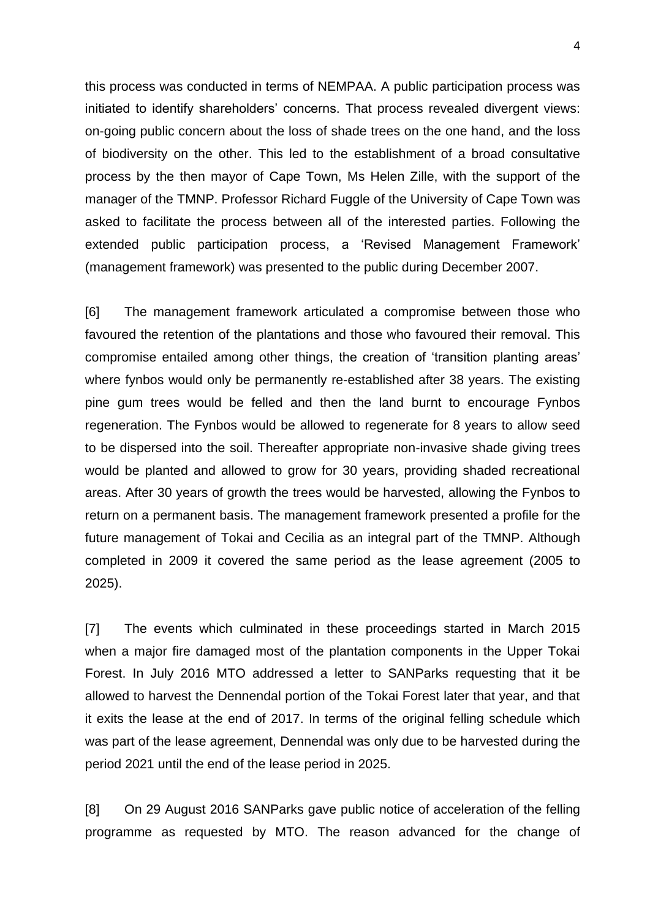this process was conducted in terms of NEMPAA. A public participation process was initiated to identify shareholders' concerns. That process revealed divergent views: on-going public concern about the loss of shade trees on the one hand, and the loss of biodiversity on the other. This led to the establishment of a broad consultative process by the then mayor of Cape Town, Ms Helen Zille, with the support of the manager of the TMNP. Professor Richard Fuggle of the University of Cape Town was asked to facilitate the process between all of the interested parties. Following the extended public participation process, a 'Revised Management Framework' (management framework) was presented to the public during December 2007.

[6] The management framework articulated a compromise between those who favoured the retention of the plantations and those who favoured their removal. This compromise entailed among other things, the creation of 'transition planting areas' where fynbos would only be permanently re-established after 38 years. The existing pine gum trees would be felled and then the land burnt to encourage Fynbos regeneration. The Fynbos would be allowed to regenerate for 8 years to allow seed to be dispersed into the soil. Thereafter appropriate non-invasive shade giving trees would be planted and allowed to grow for 30 years, providing shaded recreational areas. After 30 years of growth the trees would be harvested, allowing the Fynbos to return on a permanent basis. The management framework presented a profile for the future management of Tokai and Cecilia as an integral part of the TMNP. Although completed in 2009 it covered the same period as the lease agreement (2005 to 2025).

[7] The events which culminated in these proceedings started in March 2015 when a major fire damaged most of the plantation components in the Upper Tokai Forest. In July 2016 MTO addressed a letter to SANParks requesting that it be allowed to harvest the Dennendal portion of the Tokai Forest later that year, and that it exits the lease at the end of 2017. In terms of the original felling schedule which was part of the lease agreement, Dennendal was only due to be harvested during the period 2021 until the end of the lease period in 2025.

[8] On 29 August 2016 SANParks gave public notice of acceleration of the felling programme as requested by MTO. The reason advanced for the change of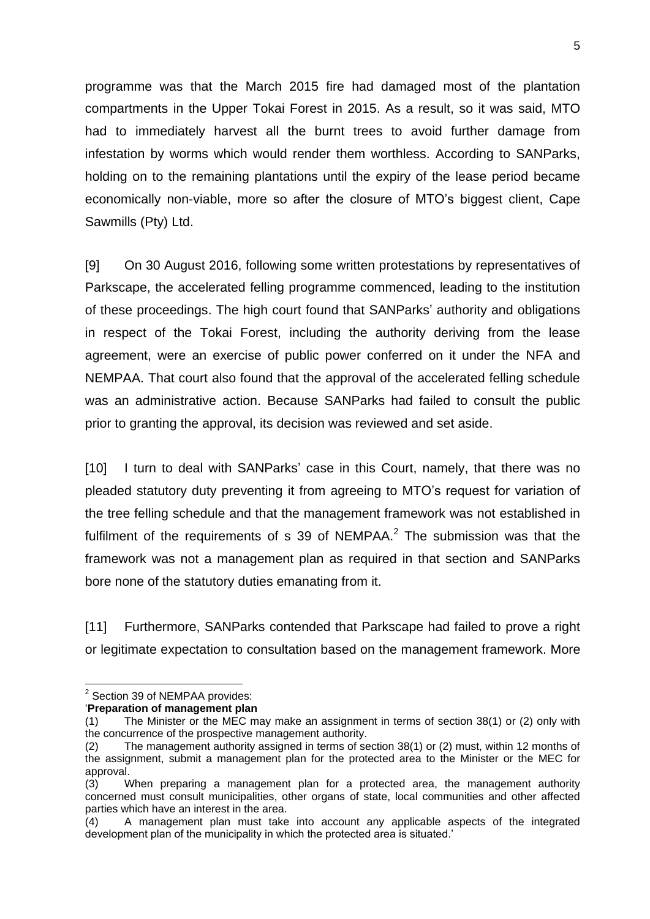programme was that the March 2015 fire had damaged most of the plantation compartments in the Upper Tokai Forest in 2015. As a result, so it was said, MTO had to immediately harvest all the burnt trees to avoid further damage from infestation by worms which would render them worthless. According to SANParks, holding on to the remaining plantations until the expiry of the lease period became economically non-viable, more so after the closure of MTO's biggest client, Cape Sawmills (Pty) Ltd.

[9] On 30 August 2016, following some written protestations by representatives of Parkscape, the accelerated felling programme commenced, leading to the institution of these proceedings. The high court found that SANParks' authority and obligations in respect of the Tokai Forest, including the authority deriving from the lease agreement, were an exercise of public power conferred on it under the NFA and NEMPAA. That court also found that the approval of the accelerated felling schedule was an administrative action. Because SANParks had failed to consult the public prior to granting the approval, its decision was reviewed and set aside.

[10] I turn to deal with SANParks' case in this Court, namely, that there was no pleaded statutory duty preventing it from agreeing to MTO's request for variation of the tree felling schedule and that the management framework was not established in fulfilment of the requirements of s 39 of NEMPAA. $2$  The submission was that the framework was not a management plan as required in that section and SANParks bore none of the statutory duties emanating from it.

[11] Furthermore, SANParks contended that Parkscape had failed to prove a right or legitimate expectation to consultation based on the management framework. More

 $\overline{\phantom{a}}$ 

<sup>&</sup>lt;sup>2</sup> Section 39 of NEMPAA provides:

<sup>&#</sup>x27;**Preparation of management plan**

<sup>(1)</sup> The Minister or the MEC may make an assignment in terms of section 38(1) or (2) only with the concurrence of the prospective management authority.

<sup>(2)</sup> The management authority assigned in terms of section 38(1) or (2) must, within 12 months of the assignment, submit a management plan for the protected area to the Minister or the MEC for approval.

<sup>(3)</sup> When preparing a management plan for a protected area, the management authority concerned must consult municipalities, other organs of state, local communities and other affected parties which have an interest in the area.

<sup>(4)</sup> A management plan must take into account any applicable aspects of the integrated development plan of the municipality in which the protected area is situated.'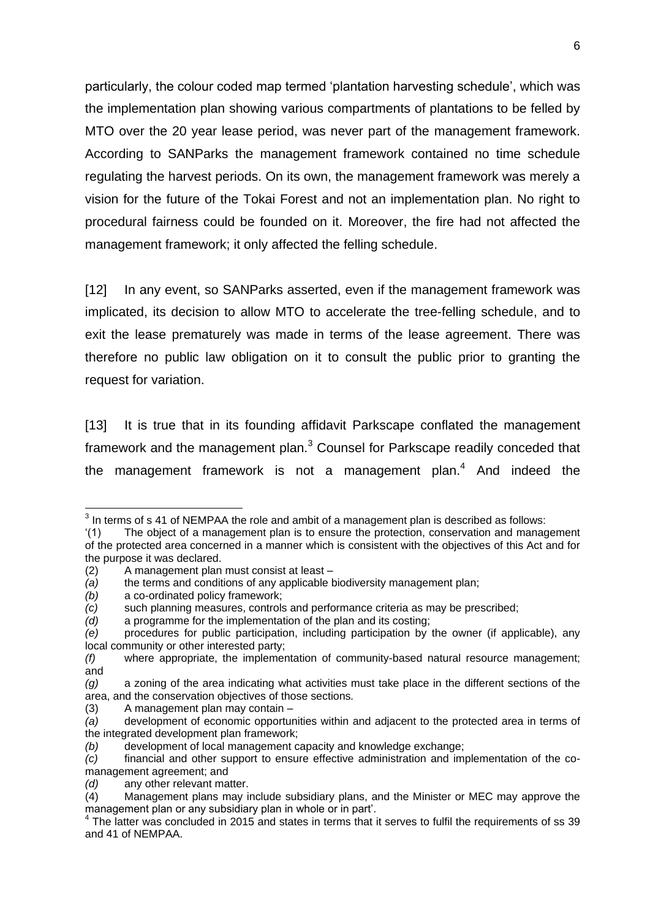particularly, the colour coded map termed 'plantation harvesting schedule', which was the implementation plan showing various compartments of plantations to be felled by MTO over the 20 year lease period, was never part of the management framework. According to SANParks the management framework contained no time schedule regulating the harvest periods. On its own, the management framework was merely a vision for the future of the Tokai Forest and not an implementation plan. No right to procedural fairness could be founded on it. Moreover, the fire had not affected the management framework; it only affected the felling schedule.

[12] In any event, so SANParks asserted, even if the management framework was implicated, its decision to allow MTO to accelerate the tree-felling schedule, and to exit the lease prematurely was made in terms of the lease agreement. There was therefore no public law obligation on it to consult the public prior to granting the request for variation.

[13] It is true that in its founding affidavit Parkscape conflated the management framework and the management plan.<sup>3</sup> Counsel for Parkscape readily conceded that the management framework is not a management plan. $4$  And indeed the

 3 In terms of s 41 of NEMPAA the role and ambit of a management plan is described as follows:

<sup>&#</sup>x27;(1) The object of a management plan is to ensure the protection, conservation and management of the protected area concerned in a manner which is consistent with the objectives of this Act and for the purpose it was declared.

<sup>(2)</sup> A management plan must consist at least –

*<sup>(</sup>a)* the terms and conditions of any applicable biodiversity management plan;

*<sup>(</sup>b)* a co-ordinated policy framework;

*<sup>(</sup>c)* such planning measures, controls and performance criteria as may be prescribed;

*<sup>(</sup>d)* a programme for the implementation of the plan and its costing;

*<sup>(</sup>e)* procedures for public participation, including participation by the owner (if applicable), any local community or other interested party;

*<sup>(</sup>f)* where appropriate, the implementation of community-based natural resource management; and

*<sup>(</sup>g)* a zoning of the area indicating what activities must take place in the different sections of the area, and the conservation objectives of those sections*.*

<sup>(3)</sup> A management plan may contain –

*<sup>(</sup>a)* development of economic opportunities within and adjacent to the protected area in terms of the integrated development plan framework;

*<sup>(</sup>b)* development of local management capacity and knowledge exchange;

*<sup>(</sup>c)* financial and other support to ensure effective administration and implementation of the comanagement agreement; and

*<sup>(</sup>d)* any other relevant matter.

<sup>(4)</sup> Management plans may include subsidiary plans, and the Minister or MEC may approve the management plan or any subsidiary plan in whole or in part'.

<sup>&</sup>lt;sup>4</sup> The latter was concluded in 2015 and states in terms that it serves to fulfil the requirements of ss 39 and 41 of NEMPAA.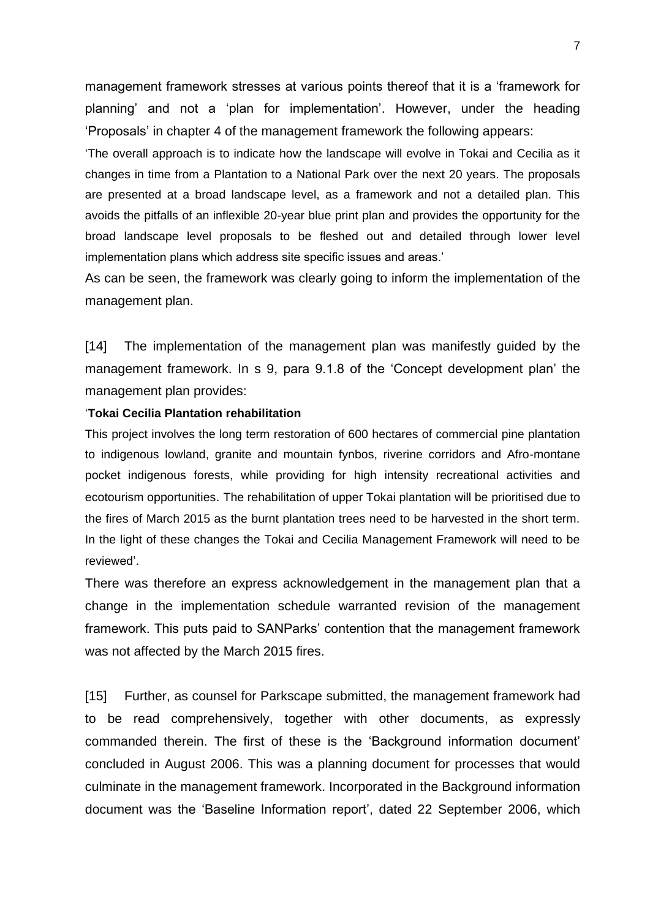management framework stresses at various points thereof that it is a 'framework for planning' and not a 'plan for implementation'. However, under the heading 'Proposals' in chapter 4 of the management framework the following appears:

'The overall approach is to indicate how the landscape will evolve in Tokai and Cecilia as it changes in time from a Plantation to a National Park over the next 20 years. The proposals are presented at a broad landscape level, as a framework and not a detailed plan. This avoids the pitfalls of an inflexible 20-year blue print plan and provides the opportunity for the broad landscape level proposals to be fleshed out and detailed through lower level implementation plans which address site specific issues and areas.'

As can be seen, the framework was clearly going to inform the implementation of the management plan.

[14] The implementation of the management plan was manifestly guided by the management framework. In s 9, para 9.1.8 of the 'Concept development plan' the management plan provides:

#### '**Tokai Cecilia Plantation rehabilitation**

This project involves the long term restoration of 600 hectares of commercial pine plantation to indigenous lowland, granite and mountain fynbos, riverine corridors and Afro-montane pocket indigenous forests, while providing for high intensity recreational activities and ecotourism opportunities. The rehabilitation of upper Tokai plantation will be prioritised due to the fires of March 2015 as the burnt plantation trees need to be harvested in the short term. In the light of these changes the Tokai and Cecilia Management Framework will need to be reviewed'.

There was therefore an express acknowledgement in the management plan that a change in the implementation schedule warranted revision of the management framework. This puts paid to SANParks' contention that the management framework was not affected by the March 2015 fires.

[15] Further, as counsel for Parkscape submitted, the management framework had to be read comprehensively, together with other documents, as expressly commanded therein. The first of these is the 'Background information document' concluded in August 2006. This was a planning document for processes that would culminate in the management framework. Incorporated in the Background information document was the 'Baseline Information report', dated 22 September 2006, which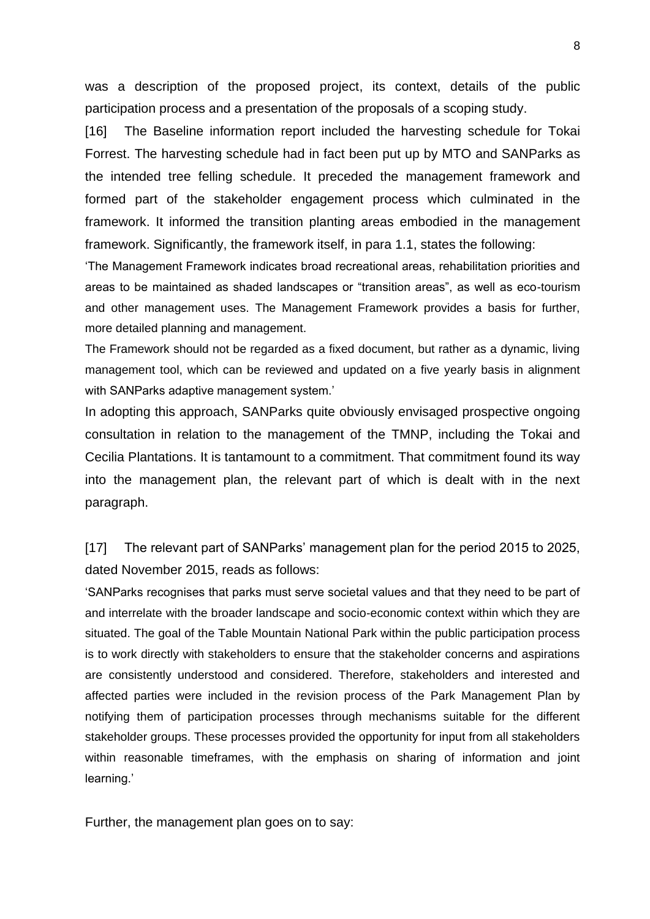was a description of the proposed project, its context, details of the public participation process and a presentation of the proposals of a scoping study.

[16] The Baseline information report included the harvesting schedule for Tokai Forrest. The harvesting schedule had in fact been put up by MTO and SANParks as the intended tree felling schedule. It preceded the management framework and formed part of the stakeholder engagement process which culminated in the framework. It informed the transition planting areas embodied in the management framework. Significantly, the framework itself, in para 1.1, states the following:

'The Management Framework indicates broad recreational areas, rehabilitation priorities and areas to be maintained as shaded landscapes or "transition areas", as well as eco-tourism and other management uses. The Management Framework provides a basis for further, more detailed planning and management.

The Framework should not be regarded as a fixed document, but rather as a dynamic, living management tool, which can be reviewed and updated on a five yearly basis in alignment with SANParks adaptive management system.'

In adopting this approach, SANParks quite obviously envisaged prospective ongoing consultation in relation to the management of the TMNP, including the Tokai and Cecilia Plantations. It is tantamount to a commitment. That commitment found its way into the management plan, the relevant part of which is dealt with in the next paragraph.

[17] The relevant part of SANParks' management plan for the period 2015 to 2025, dated November 2015, reads as follows:

'SANParks recognises that parks must serve societal values and that they need to be part of and interrelate with the broader landscape and socio-economic context within which they are situated. The goal of the Table Mountain National Park within the public participation process is to work directly with stakeholders to ensure that the stakeholder concerns and aspirations are consistently understood and considered. Therefore, stakeholders and interested and affected parties were included in the revision process of the Park Management Plan by notifying them of participation processes through mechanisms suitable for the different stakeholder groups. These processes provided the opportunity for input from all stakeholders within reasonable timeframes, with the emphasis on sharing of information and joint learning.'

Further, the management plan goes on to say: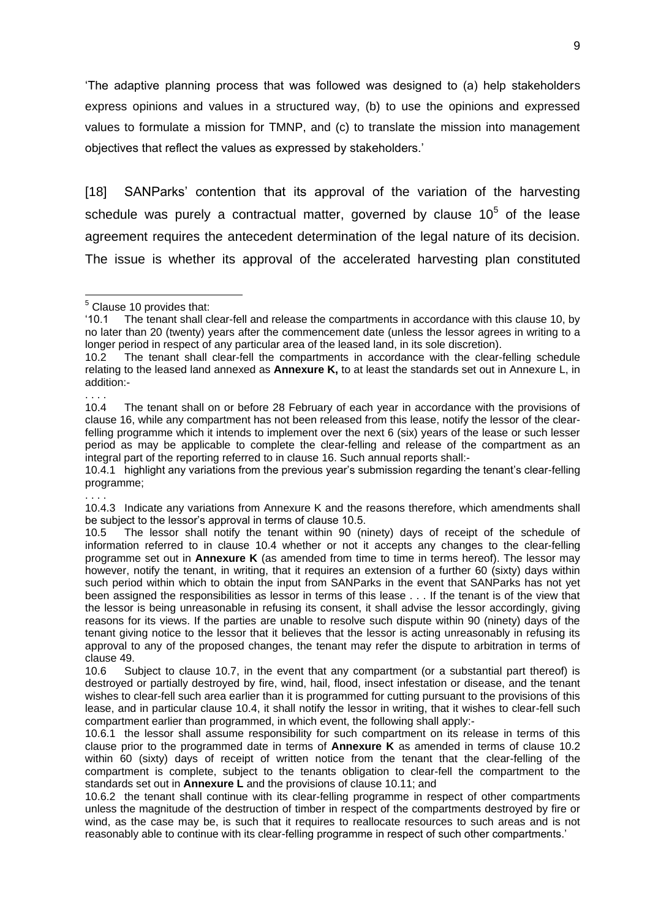'The adaptive planning process that was followed was designed to (a) help stakeholders express opinions and values in a structured way, (b) to use the opinions and expressed values to formulate a mission for TMNP, and (c) to translate the mission into management objectives that reflect the values as expressed by stakeholders.'

[18] SANParks' contention that its approval of the variation of the harvesting schedule was purely a contractual matter, governed by clause  $10<sup>5</sup>$  of the lease agreement requires the antecedent determination of the legal nature of its decision. The issue is whether its approval of the accelerated harvesting plan constituted

. . . .

. . . .

10.4.1 highlight any variations from the previous year's submission regarding the tenant's clear-felling programme;

<sup>-</sup> $<sup>5</sup>$  Clause 10 provides that:</sup>

<sup>&#</sup>x27;10.1 The tenant shall clear-fell and release the compartments in accordance with this clause 10, by no later than 20 (twenty) years after the commencement date (unless the lessor agrees in writing to a longer period in respect of any particular area of the leased land, in its sole discretion).

<sup>10.2</sup> The tenant shall clear-fell the compartments in accordance with the clear-felling schedule relating to the leased land annexed as **Annexure K,** to at least the standards set out in Annexure L, in addition:-

<sup>10.4</sup> The tenant shall on or before 28 February of each year in accordance with the provisions of clause 16, while any compartment has not been released from this lease, notify the lessor of the clearfelling programme which it intends to implement over the next 6 (six) years of the lease or such lesser period as may be applicable to complete the clear-felling and release of the compartment as an integral part of the reporting referred to in clause 16. Such annual reports shall:-

<sup>10.4.3</sup> Indicate any variations from Annexure K and the reasons therefore, which amendments shall be subject to the lessor's approval in terms of clause 10.5.

<sup>10.5</sup> The lessor shall notify the tenant within 90 (ninety) days of receipt of the schedule of information referred to in clause 10.4 whether or not it accepts any changes to the clear-felling programme set out in **Annexure K** (as amended from time to time in terms hereof). The lessor may however, notify the tenant, in writing, that it requires an extension of a further 60 (sixty) days within such period within which to obtain the input from SANParks in the event that SANParks has not yet been assigned the responsibilities as lessor in terms of this lease . . . If the tenant is of the view that the lessor is being unreasonable in refusing its consent, it shall advise the lessor accordingly, giving reasons for its views. If the parties are unable to resolve such dispute within 90 (ninety) days of the tenant giving notice to the lessor that it believes that the lessor is acting unreasonably in refusing its approval to any of the proposed changes, the tenant may refer the dispute to arbitration in terms of clause 49.

<sup>10.6</sup> Subject to clause 10.7, in the event that any compartment (or a substantial part thereof) is destroyed or partially destroyed by fire, wind, hail, flood, insect infestation or disease, and the tenant wishes to clear-fell such area earlier than it is programmed for cutting pursuant to the provisions of this lease, and in particular clause 10.4, it shall notify the lessor in writing, that it wishes to clear-fell such compartment earlier than programmed, in which event, the following shall apply:-

<sup>10.6.1</sup> the lessor shall assume responsibility for such compartment on its release in terms of this clause prior to the programmed date in terms of **Annexure K** as amended in terms of clause 10.2 within 60 (sixty) days of receipt of written notice from the tenant that the clear-felling of the compartment is complete, subject to the tenants obligation to clear-fell the compartment to the standards set out in **Annexure L** and the provisions of clause 10.11; and

<sup>10.6.2</sup> the tenant shall continue with its clear-felling programme in respect of other compartments unless the magnitude of the destruction of timber in respect of the compartments destroyed by fire or wind, as the case may be, is such that it requires to reallocate resources to such areas and is not reasonably able to continue with its clear-felling programme in respect of such other compartments.'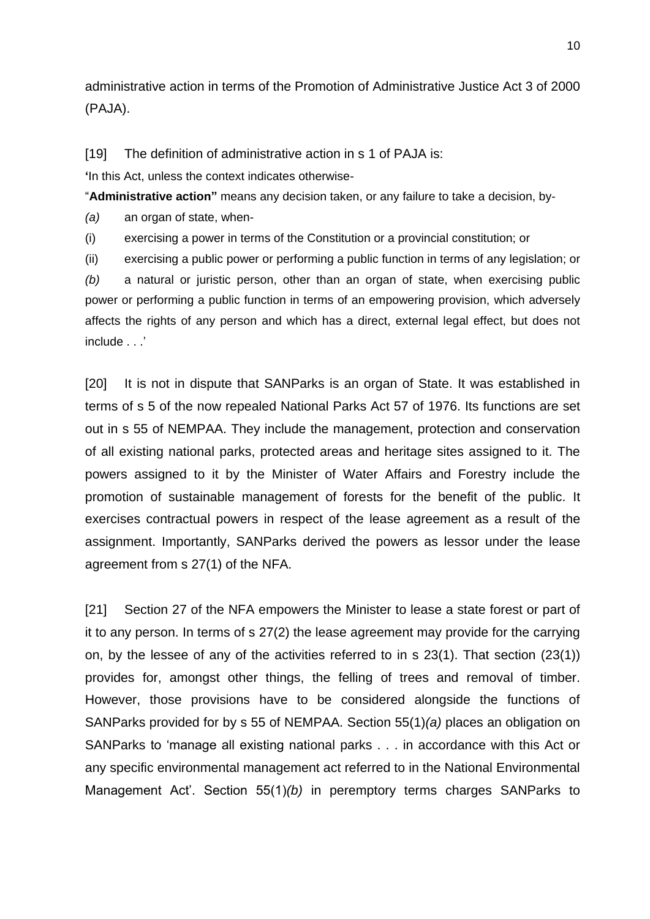administrative action in terms of the Promotion of Administrative Justice Act 3 of 2000 (PAJA).

[19] The definition of administrative action in s 1 of PAJA is:

**'**In this Act, unless the context indicates otherwise-

"**Administrative action"** means any decision taken, or any failure to take a decision, by-

*(a)* an organ of state, when-

(i) exercising a power in terms of the Constitution or a provincial constitution; or

(ii) exercising a public power or performing a public function in terms of any legislation; or

*(b)* a natural or juristic person, other than an organ of state, when exercising public power or performing a public function in terms of an empowering provision, which adversely affects the rights of any person and which has a direct, external legal effect, but does not include . . .'

[20] It is not in dispute that SANParks is an organ of State. It was established in terms of s 5 of the now repealed National Parks Act 57 of 1976. Its functions are set out in s 55 of NEMPAA. They include the management, protection and conservation of all existing national parks, protected areas and heritage sites assigned to it. The powers assigned to it by the Minister of Water Affairs and Forestry include the promotion of sustainable management of forests for the benefit of the public. It exercises contractual powers in respect of the lease agreement as a result of the assignment. Importantly, SANParks derived the powers as lessor under the lease agreement from s 27(1) of the NFA.

[21] Section 27 of the NFA empowers the Minister to lease a state forest or part of it to any person. In terms of s 27(2) the lease agreement may provide for the carrying on, by the lessee of any of the activities referred to in s 23(1). That section (23(1)) provides for, amongst other things, the felling of trees and removal of timber. However, those provisions have to be considered alongside the functions of SANParks provided for by s 55 of NEMPAA. Section 55(1)*(a)* places an obligation on SANParks to 'manage all existing national parks . . . in accordance with this Act or any specific environmental management act referred to in the National Environmental Management Act'. Section 55(1)*(b)* in peremptory terms charges SANParks to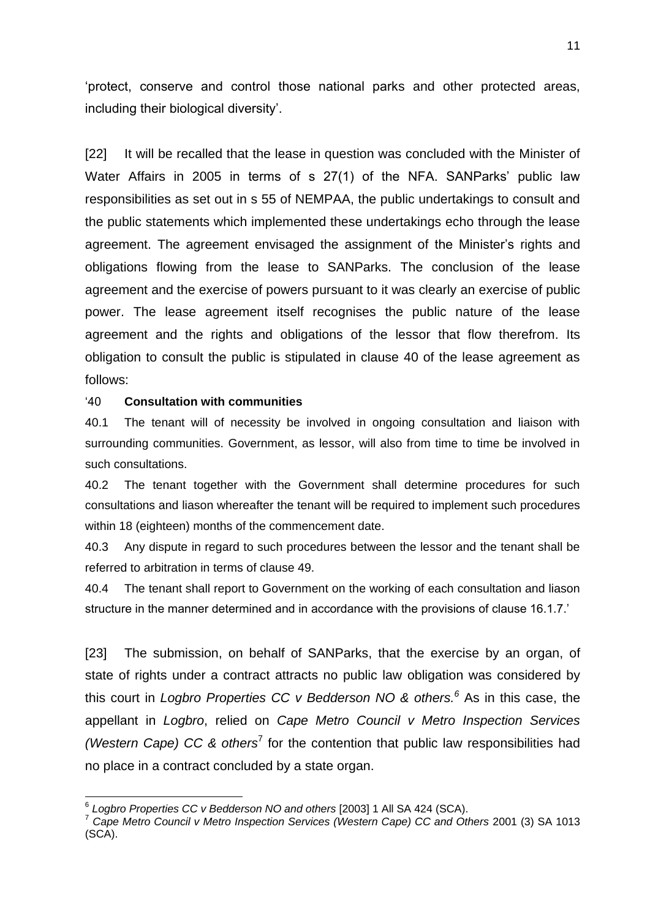'protect, conserve and control those national parks and other protected areas, including their biological diversity'.

[22] It will be recalled that the lease in question was concluded with the Minister of Water Affairs in 2005 in terms of s 27(1) of the NFA. SANParks' public law responsibilities as set out in s 55 of NEMPAA, the public undertakings to consult and the public statements which implemented these undertakings echo through the lease agreement. The agreement envisaged the assignment of the Minister's rights and obligations flowing from the lease to SANParks. The conclusion of the lease agreement and the exercise of powers pursuant to it was clearly an exercise of public power. The lease agreement itself recognises the public nature of the lease agreement and the rights and obligations of the lessor that flow therefrom. Its obligation to consult the public is stipulated in clause 40 of the lease agreement as follows:

#### '40 **Consultation with communities**

40.1 The tenant will of necessity be involved in ongoing consultation and liaison with surrounding communities. Government, as lessor, will also from time to time be involved in such consultations.

40.2 The tenant together with the Government shall determine procedures for such consultations and liason whereafter the tenant will be required to implement such procedures within 18 (eighteen) months of the commencement date.

40.3 Any dispute in regard to such procedures between the lessor and the tenant shall be referred to arbitration in terms of clause 49.

40.4 The tenant shall report to Government on the working of each consultation and liason structure in the manner determined and in accordance with the provisions of clause 16.1.7.'

[23] The submission, on behalf of SANParks, that the exercise by an organ, of state of rights under a contract attracts no public law obligation was considered by this court in *Logbro Properties CC v Bedderson NO & others. <sup>6</sup>* As in this case, the appellant in *Logbro*, relied on *Cape Metro Council v Metro Inspection Services (Western Cape) CC & others<sup>7</sup>* for the contention that public law responsibilities had no place in a contract concluded by a state organ.

 6 *Logbro Properties CC v Bedderson NO and others* [2003] 1 All SA 424 (SCA).

<sup>7</sup> *Cape Metro Council v Metro Inspection Services (Western Cape) CC and Others* 2001 (3) SA 1013 (SCA).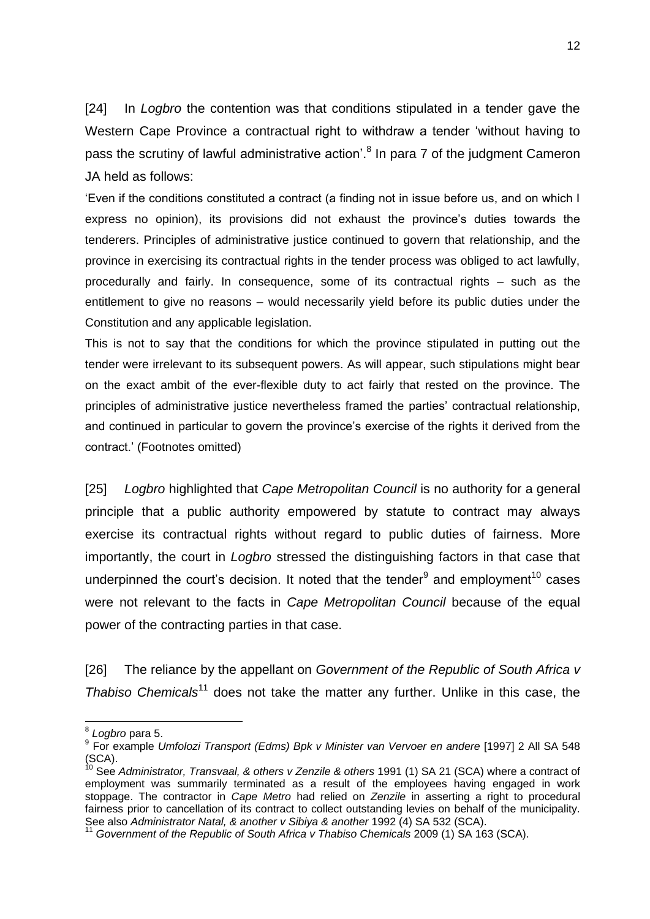[24] In *Logbro* the contention was that conditions stipulated in a tender gave the Western Cape Province a contractual right to withdraw a tender 'without having to pass the scrutiny of lawful administrative action'.<sup>8</sup> In para 7 of the judgment Cameron JA held as follows:

'Even if the conditions constituted a contract (a finding not in issue before us, and on which I express no opinion), its provisions did not exhaust the province's duties towards the tenderers. Principles of administrative justice continued to govern that relationship, and the province in exercising its contractual rights in the tender process was obliged to act lawfully, procedurally and fairly. In consequence, some of its contractual rights – such as the entitlement to give no reasons – would necessarily yield before its public duties under the Constitution and any applicable legislation.

This is not to say that the conditions for which the province stipulated in putting out the tender were irrelevant to its subsequent powers. As will appear, such stipulations might bear on the exact ambit of the ever-flexible duty to act fairly that rested on the province. The principles of administrative justice nevertheless framed the parties' contractual relationship, and continued in particular to govern the province's exercise of the rights it derived from the contract.' (Footnotes omitted)

[25] *Logbro* highlighted that *Cape Metropolitan Council* is no authority for a general principle that a public authority empowered by statute to contract may always exercise its contractual rights without regard to public duties of fairness. More importantly, the court in *Logbro* stressed the distinguishing factors in that case that underpinned the court's decision. It noted that the tender $9$  and employment<sup>10</sup> cases were not relevant to the facts in *Cape Metropolitan Council* because of the equal power of the contracting parties in that case.

[26] The reliance by the appellant on *Government of the Republic of South Africa v Thabiso Chemicals*<sup>11</sup> does not take the matter any further. Unlike in this case, the

 $\overline{a}$ 

<sup>8</sup> *Logbro* para 5.

<sup>&</sup>lt;sup>9</sup> For example *Umfolozi Transport (Edms) Bpk v Minister van Vervoer en andere* [1997] 2 All SA 548  $(SCA)$ .

<sup>10</sup> See *Administrator, Transvaal, & others v Zenzile & others* 1991 (1) SA 21 (SCA) where a contract of employment was summarily terminated as a result of the employees having engaged in work stoppage. The contractor in *Cape Metro* had relied on *Zenzile* in asserting a right to procedural fairness prior to cancellation of its contract to collect outstanding levies on behalf of the municipality. See also *Administrator Natal, & another v Sibiya & another* 1992 (4) SA 532 (SCA).

<sup>11</sup> *Government of the Republic of South Africa v Thabiso Chemicals* 2009 (1) SA 163 (SCA).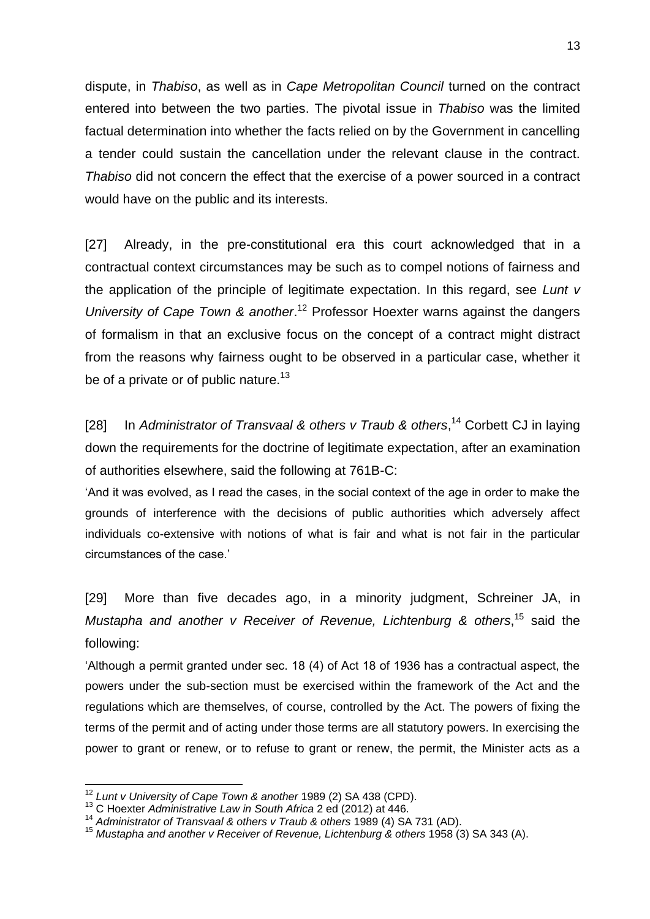dispute, in *Thabiso*, as well as in *Cape Metropolitan Council* turned on the contract entered into between the two parties. The pivotal issue in *Thabiso* was the limited factual determination into whether the facts relied on by the Government in cancelling a tender could sustain the cancellation under the relevant clause in the contract. *Thabiso* did not concern the effect that the exercise of a power sourced in a contract would have on the public and its interests.

[27] Already, in the pre-constitutional era this court acknowledged that in a contractual context circumstances may be such as to compel notions of fairness and the application of the principle of legitimate expectation. In this regard, see *Lunt v University of Cape Town & another*. <sup>12</sup> Professor Hoexter warns against the dangers of formalism in that an exclusive focus on the concept of a contract might distract from the reasons why fairness ought to be observed in a particular case, whether it be of a private or of public nature.<sup>13</sup>

[28] In *Administrator of Transvaal & others v Traub & others*, <sup>14</sup> Corbett CJ in laying down the requirements for the doctrine of legitimate expectation, after an examination of authorities elsewhere, said the following at 761B-C:

'And it was evolved, as I read the cases, in the social context of the age in order to make the grounds of interference with the decisions of public authorities which adversely affect individuals co-extensive with notions of what is fair and what is not fair in the particular circumstances of the case.'

[29] More than five decades ago, in a minority judgment, Schreiner JA, in *Mustapha and another v Receiver of Revenue, Lichtenburg & others*, <sup>15</sup> said the following:

'Although a permit granted under sec. 18 (4) of Act 18 of 1936 has a contractual aspect, the powers under the sub-section must be exercised within the framework of the Act and the regulations which are themselves, of course, controlled by the Act. The powers of fixing the terms of the permit and of acting under those terms are all statutory powers. In exercising the power to grant or renew, or to refuse to grant or renew, the permit, the Minister acts as a

**.** 

<sup>12</sup> *Lunt v University of Cape Town & another* 1989 (2) SA 438 (CPD).

<sup>13</sup> C Hoexter *Administrative Law in South Africa* 2 ed (2012) at 446.

<sup>14</sup> *Administrator of Transvaal & others v Traub & others* 1989 (4) SA 731 (AD).

<sup>15</sup> *Mustapha and another v Receiver of Revenue, Lichtenburg & others* 1958 (3) SA 343 (A).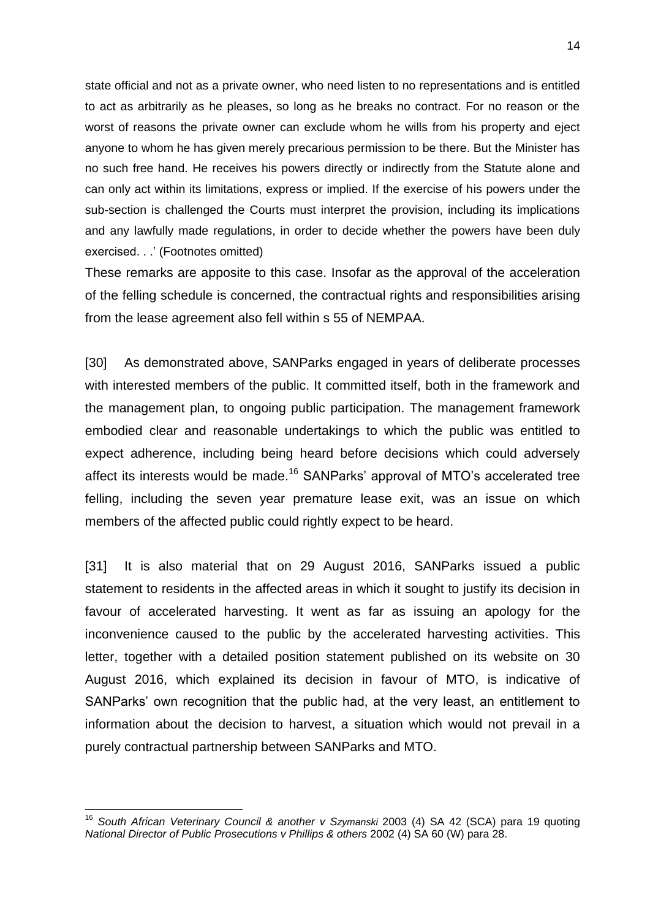state official and not as a private owner, who need listen to no representations and is entitled to act as arbitrarily as he pleases, so long as he breaks no contract. For no reason or the worst of reasons the private owner can exclude whom he wills from his property and eject anyone to whom he has given merely precarious permission to be there. But the Minister has no such free hand. He receives his powers directly or indirectly from the Statute alone and can only act within its limitations, express or implied. If the exercise of his powers under the sub-section is challenged the Courts must interpret the provision, including its implications and any lawfully made regulations, in order to decide whether the powers have been duly exercised. . .' (Footnotes omitted)

These remarks are apposite to this case. Insofar as the approval of the acceleration of the felling schedule is concerned, the contractual rights and responsibilities arising from the lease agreement also fell within s 55 of NEMPAA.

[30] As demonstrated above, SANParks engaged in years of deliberate processes with interested members of the public. It committed itself, both in the framework and the management plan, to ongoing public participation. The management framework embodied clear and reasonable undertakings to which the public was entitled to expect adherence, including being heard before decisions which could adversely affect its interests would be made.<sup>16</sup> SANParks' approval of MTO's accelerated tree felling, including the seven year premature lease exit, was an issue on which members of the affected public could rightly expect to be heard.

[31] It is also material that on 29 August 2016, SANParks issued a public statement to residents in the affected areas in which it sought to justify its decision in favour of accelerated harvesting. It went as far as issuing an apology for the inconvenience caused to the public by the accelerated harvesting activities. This letter, together with a detailed position statement published on its website on 30 August 2016, which explained its decision in favour of MTO, is indicative of SANParks' own recognition that the public had, at the very least, an entitlement to information about the decision to harvest, a situation which would not prevail in a purely contractual partnership between SANParks and MTO.

 $\overline{\phantom{a}}$ 

<sup>&</sup>lt;sup>16</sup> South African Veterinary Council & another v Szymanski 2003 (4) SA 42 (SCA) para 19 quoting *National Director of Public Prosecutions v Phillips & others* 2002 (4) SA 60 (W) para 28.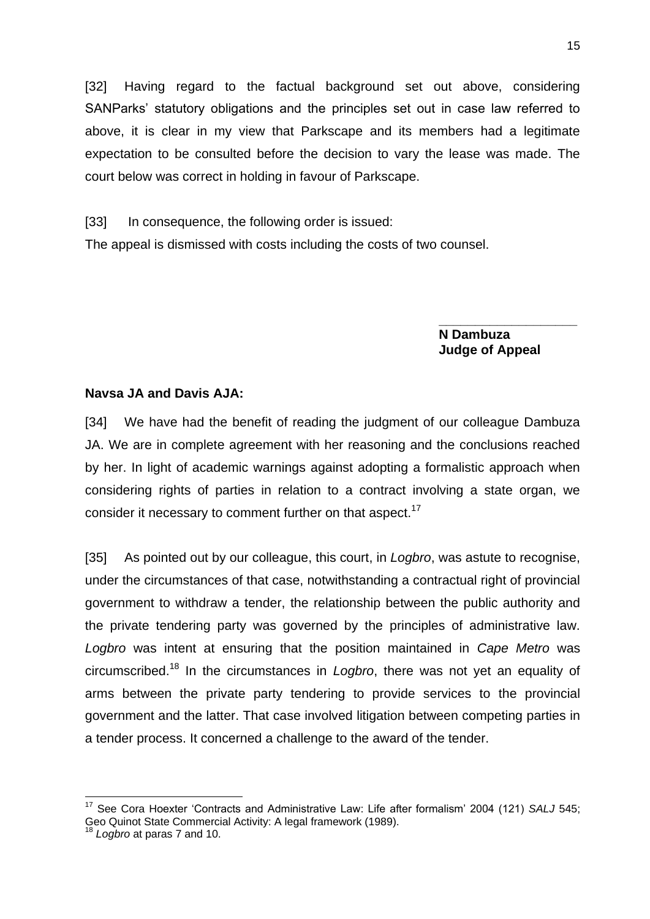[32] Having regard to the factual background set out above, considering SANParks' statutory obligations and the principles set out in case law referred to above, it is clear in my view that Parkscape and its members had a legitimate expectation to be consulted before the decision to vary the lease was made. The court below was correct in holding in favour of Parkscape.

[33] In consequence, the following order is issued: The appeal is dismissed with costs including the costs of two counsel.

> **N Dambuza Judge of Appeal**

**\_\_\_\_\_\_\_\_\_\_\_\_\_\_\_\_\_\_\_**

#### **Navsa JA and Davis AJA:**

[34] We have had the benefit of reading the judgment of our colleague Dambuza JA. We are in complete agreement with her reasoning and the conclusions reached by her. In light of academic warnings against adopting a formalistic approach when considering rights of parties in relation to a contract involving a state organ, we consider it necessary to comment further on that aspect.<sup>17</sup>

[35] As pointed out by our colleague, this court, in *Logbro*, was astute to recognise, under the circumstances of that case, notwithstanding a contractual right of provincial government to withdraw a tender, the relationship between the public authority and the private tendering party was governed by the principles of administrative law. *Logbro* was intent at ensuring that the position maintained in *Cape Metro* was circumscribed.<sup>18</sup> In the circumstances in *Logbro*, there was not yet an equality of arms between the private party tendering to provide services to the provincial government and the latter. That case involved litigation between competing parties in a tender process. It concerned a challenge to the award of the tender.

 $\overline{\phantom{a}}$ 

<sup>17</sup> See Cora Hoexter 'Contracts and Administrative Law: Life after formalism' 2004 (121) *SALJ* 545; Geo Quinot State Commercial Activity: A legal framework (1989).

Logbro at paras 7 and 10.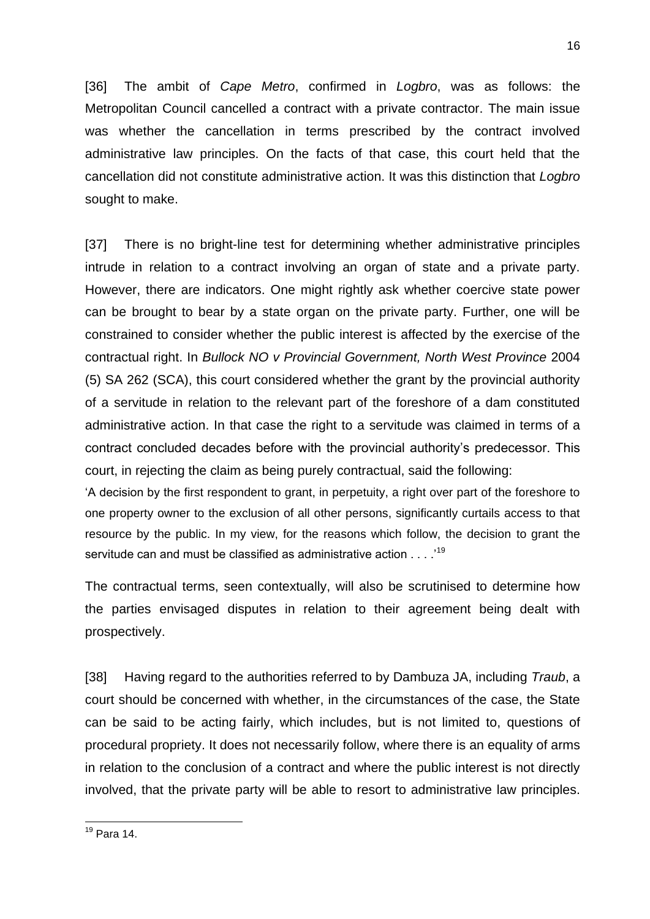[36] The ambit of *Cape Metro*, confirmed in *Logbro*, was as follows: the Metropolitan Council cancelled a contract with a private contractor. The main issue was whether the cancellation in terms prescribed by the contract involved administrative law principles. On the facts of that case, this court held that the cancellation did not constitute administrative action. It was this distinction that *Logbro* sought to make.

[37] There is no bright-line test for determining whether administrative principles intrude in relation to a contract involving an organ of state and a private party. However, there are indicators. One might rightly ask whether coercive state power can be brought to bear by a state organ on the private party. Further, one will be constrained to consider whether the public interest is affected by the exercise of the contractual right. In *Bullock NO v Provincial Government, North West Province* 2004 (5) SA 262 (SCA), this court considered whether the grant by the provincial authority of a servitude in relation to the relevant part of the foreshore of a dam constituted administrative action. In that case the right to a servitude was claimed in terms of a contract concluded decades before with the provincial authority's predecessor. This court, in rejecting the claim as being purely contractual, said the following:

'A decision by the first respondent to grant, in perpetuity, a right over part of the foreshore to one property owner to the exclusion of all other persons, significantly curtails access to that resource by the public. In my view, for the reasons which follow, the decision to grant the servitude can and must be classified as administrative action . . . .<sup>19</sup>

The contractual terms, seen contextually, will also be scrutinised to determine how the parties envisaged disputes in relation to their agreement being dealt with prospectively.

[38] Having regard to the authorities referred to by Dambuza JA, including *Traub*, a court should be concerned with whether, in the circumstances of the case, the State can be said to be acting fairly, which includes, but is not limited to, questions of procedural propriety. It does not necessarily follow, where there is an equality of arms in relation to the conclusion of a contract and where the public interest is not directly involved, that the private party will be able to resort to administrative law principles.

**<sup>.</sup>**  $19$  Para 14.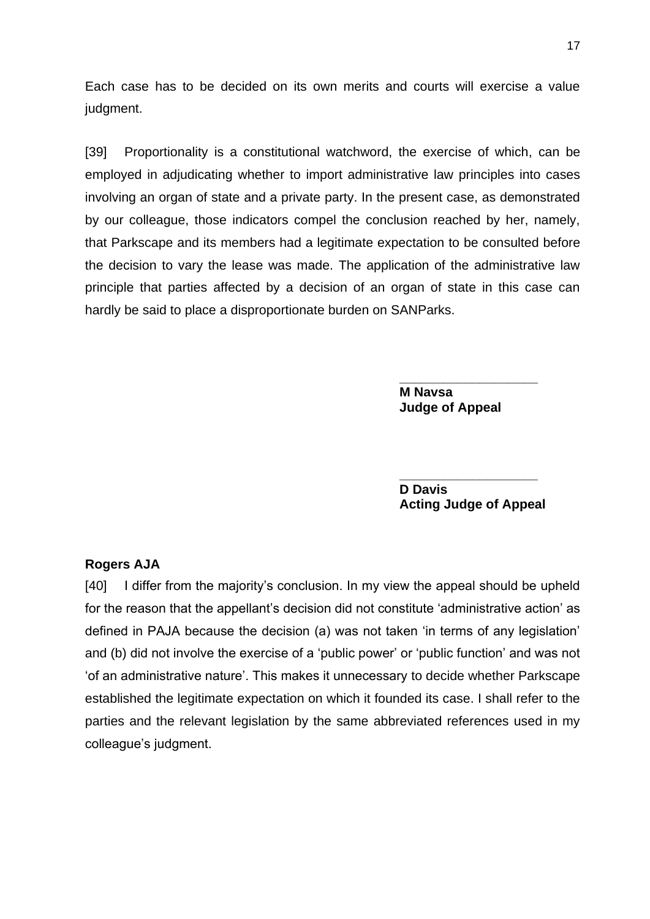Each case has to be decided on its own merits and courts will exercise a value judgment.

[39] Proportionality is a constitutional watchword, the exercise of which, can be employed in adjudicating whether to import administrative law principles into cases involving an organ of state and a private party. In the present case, as demonstrated by our colleague, those indicators compel the conclusion reached by her, namely, that Parkscape and its members had a legitimate expectation to be consulted before the decision to vary the lease was made. The application of the administrative law principle that parties affected by a decision of an organ of state in this case can hardly be said to place a disproportionate burden on SANParks.

> **M Navsa Judge of Appeal**

**\_\_\_\_\_\_\_\_\_\_\_\_\_\_\_\_\_\_\_**

**D Davis Acting Judge of Appeal**

**\_\_\_\_\_\_\_\_\_\_\_\_\_\_\_\_\_\_\_**

#### **Rogers AJA**

[40] I differ from the majority's conclusion. In my view the appeal should be upheld for the reason that the appellant's decision did not constitute 'administrative action' as defined in PAJA because the decision (a) was not taken 'in terms of any legislation' and (b) did not involve the exercise of a 'public power' or 'public function' and was not 'of an administrative nature'. This makes it unnecessary to decide whether Parkscape established the legitimate expectation on which it founded its case. I shall refer to the parties and the relevant legislation by the same abbreviated references used in my colleague's judgment.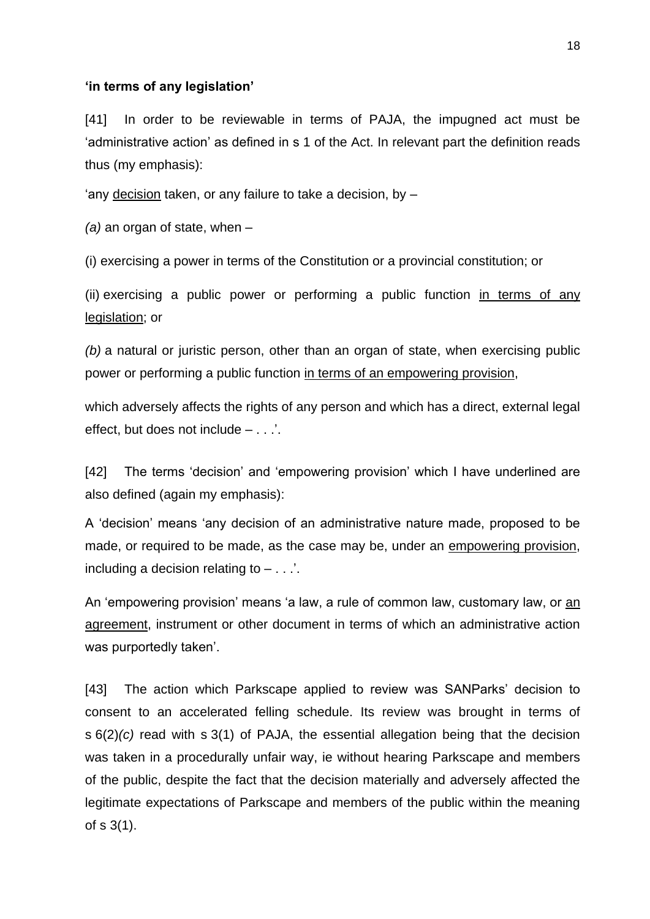#### **'in terms of any legislation'**

[41] In order to be reviewable in terms of PAJA, the impugned act must be 'administrative action' as defined in s 1 of the Act. In relevant part the definition reads thus (my emphasis):

'any decision taken, or any failure to take a decision, by –

*(a)* an organ of state, when –

(i) exercising a power in terms of the Constitution or a provincial constitution; or

(ii) exercising a public power or performing a public function in terms of any legislation; or

*(b)* a natural or juristic person, other than an organ of state, when exercising public power or performing a public function in terms of an empowering provision,

which adversely affects the rights of any person and which has a direct, external legal effect, but does not include – . . .'.

[42] The terms 'decision' and 'empowering provision' which I have underlined are also defined (again my emphasis):

A 'decision' means 'any decision of an administrative nature made, proposed to be made, or required to be made, as the case may be, under an empowering provision, including a decision relating to – . . .'.

An 'empowering provision' means 'a law, a rule of common law, customary law, or an agreement, instrument or other document in terms of which an administrative action was purportedly taken'.

[43] The action which Parkscape applied to review was SANParks' decision to consent to an accelerated felling schedule. Its review was brought in terms of s 6(2)*(c)* read with s 3(1) of PAJA, the essential allegation being that the decision was taken in a procedurally unfair way, ie without hearing Parkscape and members of the public, despite the fact that the decision materially and adversely affected the legitimate expectations of Parkscape and members of the public within the meaning of s 3(1).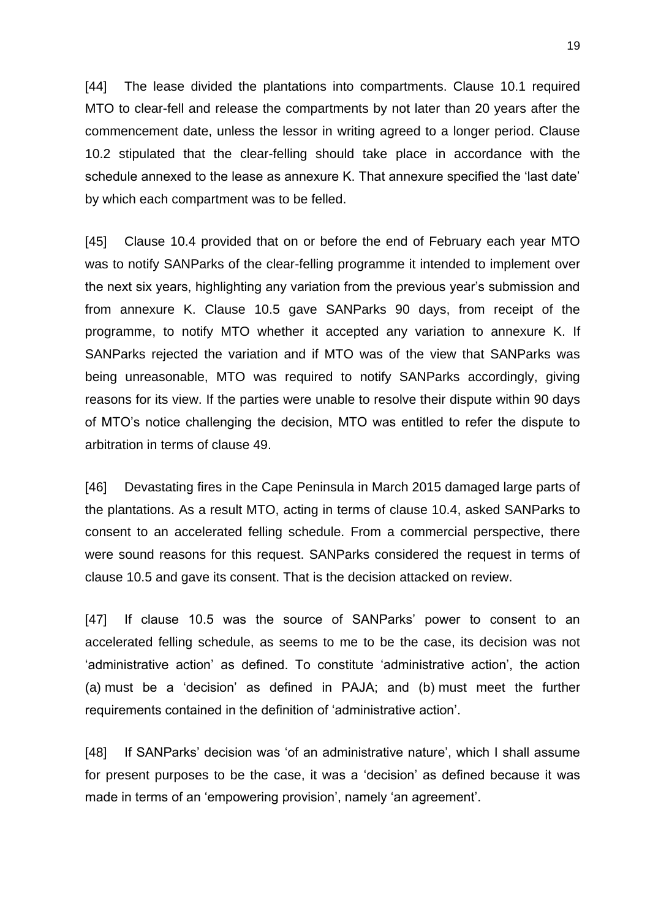[44] The lease divided the plantations into compartments. Clause 10.1 required MTO to clear-fell and release the compartments by not later than 20 years after the commencement date, unless the lessor in writing agreed to a longer period. Clause 10.2 stipulated that the clear-felling should take place in accordance with the schedule annexed to the lease as annexure K. That annexure specified the 'last date' by which each compartment was to be felled.

[45] Clause 10.4 provided that on or before the end of February each year MTO was to notify SANParks of the clear-felling programme it intended to implement over the next six years, highlighting any variation from the previous year's submission and from annexure K. Clause 10.5 gave SANParks 90 days, from receipt of the programme, to notify MTO whether it accepted any variation to annexure K. If SANParks rejected the variation and if MTO was of the view that SANParks was being unreasonable, MTO was required to notify SANParks accordingly, giving reasons for its view. If the parties were unable to resolve their dispute within 90 days of MTO's notice challenging the decision, MTO was entitled to refer the dispute to arbitration in terms of clause 49.

[46] Devastating fires in the Cape Peninsula in March 2015 damaged large parts of the plantations. As a result MTO, acting in terms of clause 10.4, asked SANParks to consent to an accelerated felling schedule. From a commercial perspective, there were sound reasons for this request. SANParks considered the request in terms of clause 10.5 and gave its consent. That is the decision attacked on review.

[47] If clause 10.5 was the source of SANParks' power to consent to an accelerated felling schedule, as seems to me to be the case, its decision was not 'administrative action' as defined. To constitute 'administrative action', the action (a) must be a 'decision' as defined in PAJA; and (b) must meet the further requirements contained in the definition of 'administrative action'.

[48] If SANParks' decision was 'of an administrative nature', which I shall assume for present purposes to be the case, it was a 'decision' as defined because it was made in terms of an 'empowering provision', namely 'an agreement'.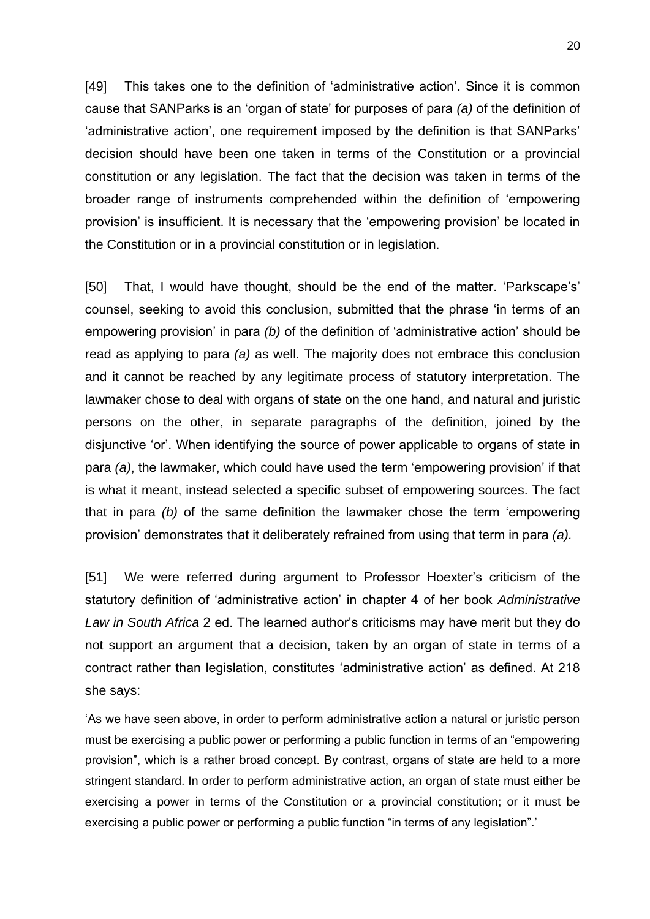[49] This takes one to the definition of 'administrative action'. Since it is common cause that SANParks is an 'organ of state' for purposes of para *(a)* of the definition of 'administrative action', one requirement imposed by the definition is that SANParks' decision should have been one taken in terms of the Constitution or a provincial constitution or any legislation. The fact that the decision was taken in terms of the broader range of instruments comprehended within the definition of 'empowering provision' is insufficient. It is necessary that the 'empowering provision' be located in the Constitution or in a provincial constitution or in legislation.

[50] That, I would have thought, should be the end of the matter. 'Parkscape's' counsel, seeking to avoid this conclusion, submitted that the phrase 'in terms of an empowering provision' in para *(b)* of the definition of 'administrative action' should be read as applying to para *(a)* as well. The majority does not embrace this conclusion and it cannot be reached by any legitimate process of statutory interpretation. The lawmaker chose to deal with organs of state on the one hand, and natural and juristic persons on the other, in separate paragraphs of the definition, joined by the disjunctive 'or'. When identifying the source of power applicable to organs of state in para *(a)*, the lawmaker, which could have used the term 'empowering provision' if that is what it meant, instead selected a specific subset of empowering sources. The fact that in para *(b)* of the same definition the lawmaker chose the term 'empowering provision' demonstrates that it deliberately refrained from using that term in para *(a).*

[51] We were referred during argument to Professor Hoexter's criticism of the statutory definition of 'administrative action' in chapter 4 of her book *Administrative Law in South Africa* 2 ed. The learned author's criticisms may have merit but they do not support an argument that a decision, taken by an organ of state in terms of a contract rather than legislation, constitutes 'administrative action' as defined. At 218 she says:

'As we have seen above, in order to perform administrative action a natural or juristic person must be exercising a public power or performing a public function in terms of an "empowering provision", which is a rather broad concept. By contrast, organs of state are held to a more stringent standard. In order to perform administrative action, an organ of state must either be exercising a power in terms of the Constitution or a provincial constitution; or it must be exercising a public power or performing a public function "in terms of any legislation".'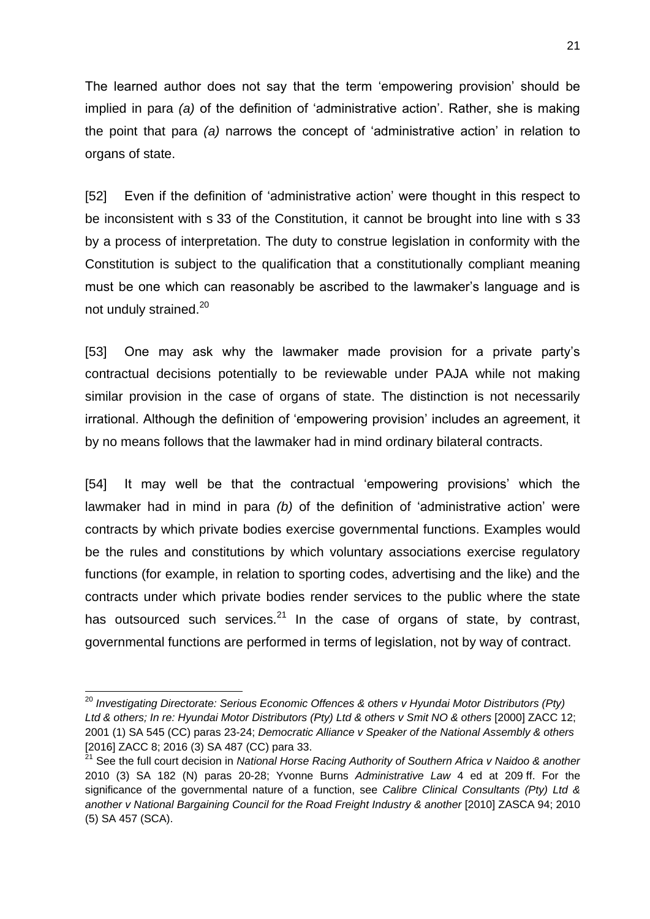The learned author does not say that the term 'empowering provision' should be implied in para *(a)* of the definition of 'administrative action'. Rather, she is making the point that para *(a)* narrows the concept of 'administrative action' in relation to organs of state.

[52] Even if the definition of 'administrative action' were thought in this respect to be inconsistent with s 33 of the Constitution, it cannot be brought into line with s 33 by a process of interpretation. The duty to construe legislation in conformity with the Constitution is subject to the qualification that a constitutionally compliant meaning must be one which can reasonably be ascribed to the lawmaker's language and is not unduly strained.<sup>20</sup>

[53] One may ask why the lawmaker made provision for a private party's contractual decisions potentially to be reviewable under PAJA while not making similar provision in the case of organs of state. The distinction is not necessarily irrational. Although the definition of 'empowering provision' includes an agreement, it by no means follows that the lawmaker had in mind ordinary bilateral contracts.

[54] It may well be that the contractual 'empowering provisions' which the lawmaker had in mind in para *(b)* of the definition of 'administrative action' were contracts by which private bodies exercise governmental functions. Examples would be the rules and constitutions by which voluntary associations exercise regulatory functions (for example, in relation to sporting codes, advertising and the like) and the contracts under which private bodies render services to the public where the state has outsourced such services. $21$  In the case of organs of state, by contrast, governmental functions are performed in terms of legislation, not by way of contract.

 $\overline{\phantom{a}}$ <sup>20</sup> Investigating Directorate: Serious Economic Offences & others v Hyundai Motor Distributors (Pty) *Ltd & others; In re: Hyundai Motor Distributors (Pty) Ltd & others v Smit NO & others* [2000] ZACC 12; 2001 (1) SA 545 (CC) paras 23-24; *Democratic Alliance v Speaker of the National Assembly & others*  [2016] ZACC 8; 2016 (3) SA 487 (CC) para 33.

<sup>&</sup>lt;sup>21</sup> See the full court decision in *National Horse Racing Authority of Southern Africa v Naidoo & another* 2010 (3) SA 182 (N) paras 20-28; Yvonne Burns *Administrative Law* 4 ed at 209 ff. For the significance of the governmental nature of a function, see *Calibre Clinical Consultants (Pty) Ltd & another v National Bargaining Council for the Road Freight Industry & another* [2010] ZASCA 94; 2010 (5) SA 457 (SCA).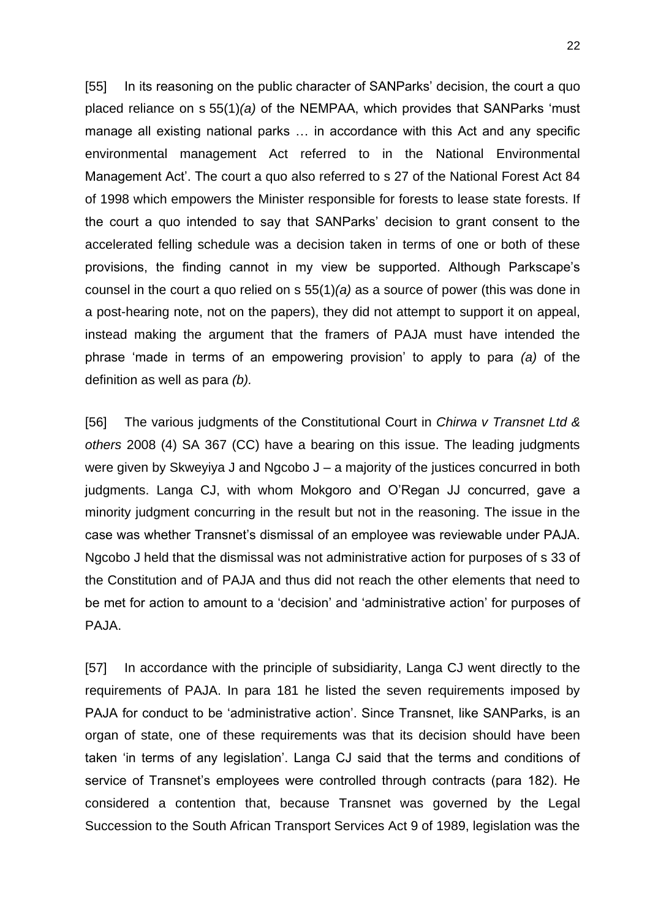[55] In its reasoning on the public character of SANParks' decision, the court a quo placed reliance on s 55(1)*(a)* of the NEMPAA, which provides that SANParks 'must manage all existing national parks … in accordance with this Act and any specific environmental management Act referred to in the National Environmental Management Act'. The court a quo also referred to s 27 of the National Forest Act 84 of 1998 which empowers the Minister responsible for forests to lease state forests. If the court a quo intended to say that SANParks' decision to grant consent to the accelerated felling schedule was a decision taken in terms of one or both of these provisions, the finding cannot in my view be supported. Although Parkscape's counsel in the court a quo relied on s 55(1)*(a)* as a source of power (this was done in a post-hearing note, not on the papers), they did not attempt to support it on appeal, instead making the argument that the framers of PAJA must have intended the phrase 'made in terms of an empowering provision' to apply to para *(a)* of the definition as well as para *(b).*

[56] The various judgments of the Constitutional Court in *Chirwa v Transnet Ltd & others* 2008 (4) SA 367 (CC) have a bearing on this issue. The leading judgments were given by Skweyiya J and Ngcobo J – a majority of the justices concurred in both judgments. Langa CJ, with whom Mokgoro and O'Regan JJ concurred, gave a minority judgment concurring in the result but not in the reasoning. The issue in the case was whether Transnet's dismissal of an employee was reviewable under PAJA. Ngcobo J held that the dismissal was not administrative action for purposes of s 33 of the Constitution and of PAJA and thus did not reach the other elements that need to be met for action to amount to a 'decision' and 'administrative action' for purposes of PAJA.

[57] In accordance with the principle of subsidiarity, Langa CJ went directly to the requirements of PAJA. In para 181 he listed the seven requirements imposed by PAJA for conduct to be 'administrative action'. Since Transnet, like SANParks, is an organ of state, one of these requirements was that its decision should have been taken 'in terms of any legislation'. Langa CJ said that the terms and conditions of service of Transnet's employees were controlled through contracts (para 182). He considered a contention that, because Transnet was governed by the Legal Succession to the South African Transport Services Act 9 of 1989, legislation was the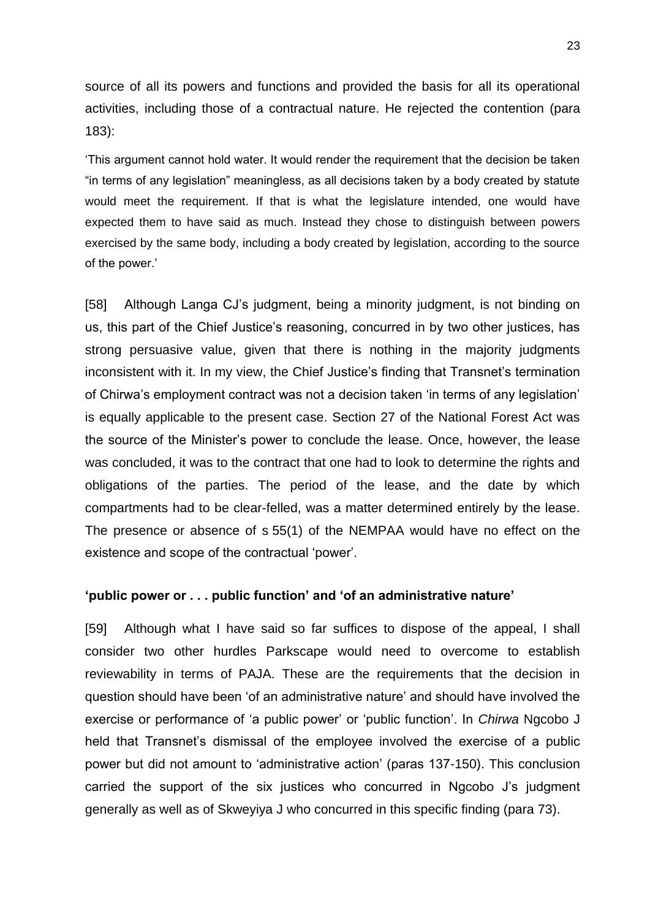source of all its powers and functions and provided the basis for all its operational activities, including those of a contractual nature. He rejected the contention (para 183):

'This argument cannot hold water. It would render the requirement that the decision be taken "in terms of any legislation" meaningless, as all decisions taken by a body created by statute would meet the requirement. If that is what the legislature intended, one would have expected them to have said as much. Instead they chose to distinguish between powers exercised by the same body, including a body created by legislation, according to the source of the power.'

[58] Although Langa CJ's judgment, being a minority judgment, is not binding on us, this part of the Chief Justice's reasoning, concurred in by two other justices, has strong persuasive value, given that there is nothing in the majority judgments inconsistent with it. In my view, the Chief Justice's finding that Transnet's termination of Chirwa's employment contract was not a decision taken 'in terms of any legislation' is equally applicable to the present case. Section 27 of the National Forest Act was the source of the Minister's power to conclude the lease. Once, however, the lease was concluded, it was to the contract that one had to look to determine the rights and obligations of the parties. The period of the lease, and the date by which compartments had to be clear-felled, was a matter determined entirely by the lease. The presence or absence of s 55(1) of the NEMPAA would have no effect on the existence and scope of the contractual 'power'.

#### **'public power or . . . public function' and 'of an administrative nature'**

[59] Although what I have said so far suffices to dispose of the appeal, I shall consider two other hurdles Parkscape would need to overcome to establish reviewability in terms of PAJA. These are the requirements that the decision in question should have been 'of an administrative nature' and should have involved the exercise or performance of 'a public power' or 'public function'. In *Chirwa* Ngcobo J held that Transnet's dismissal of the employee involved the exercise of a public power but did not amount to 'administrative action' (paras 137-150). This conclusion carried the support of the six justices who concurred in Ngcobo J's judgment generally as well as of Skweyiya J who concurred in this specific finding (para 73).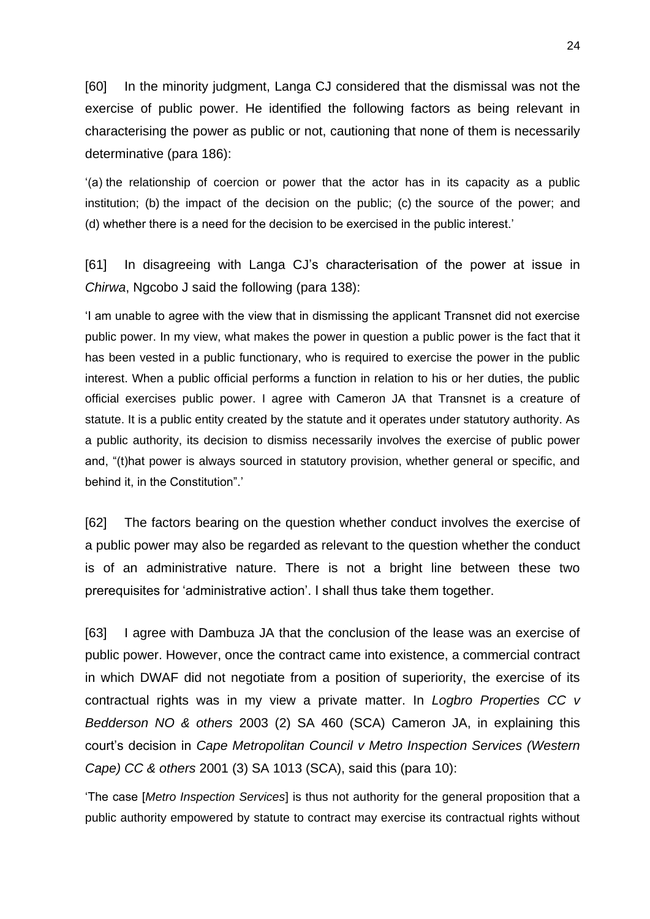[60] In the minority judgment, Langa CJ considered that the dismissal was not the exercise of public power. He identified the following factors as being relevant in characterising the power as public or not, cautioning that none of them is necessarily determinative (para 186):

'(a) the relationship of coercion or power that the actor has in its capacity as a public institution; (b) the impact of the decision on the public; (c) the source of the power; and (d) whether there is a need for the decision to be exercised in the public interest.'

[61] In disagreeing with Langa CJ's characterisation of the power at issue in *Chirwa*, Ngcobo J said the following (para 138):

'I am unable to agree with the view that in dismissing the applicant Transnet did not exercise public power. In my view, what makes the power in question a public power is the fact that it has been vested in a public functionary, who is required to exercise the power in the public interest. When a public official performs a function in relation to his or her duties, the public official exercises public power. I agree with Cameron JA that Transnet is a creature of statute. It is a public entity created by the statute and it operates under statutory authority. As a public authority, its decision to dismiss necessarily involves the exercise of public power and, "(t)hat power is always sourced in statutory provision, whether general or specific, and behind it, in the Constitution".'

[62] The factors bearing on the question whether conduct involves the exercise of a public power may also be regarded as relevant to the question whether the conduct is of an administrative nature. There is not a bright line between these two prerequisites for 'administrative action'. I shall thus take them together.

[63] I agree with Dambuza JA that the conclusion of the lease was an exercise of public power. However, once the contract came into existence, a commercial contract in which DWAF did not negotiate from a position of superiority, the exercise of its contractual rights was in my view a private matter. In *Logbro Properties CC v Bedderson NO & others* 2003 (2) SA 460 (SCA) Cameron JA, in explaining this court's decision in *Cape Metropolitan Council v Metro Inspection Services (Western Cape) CC & others* 2001 (3) SA 1013 (SCA), said this (para 10):

'The case [*Metro Inspection Services*] is thus not authority for the general proposition that a public authority empowered by statute to contract may exercise its contractual rights without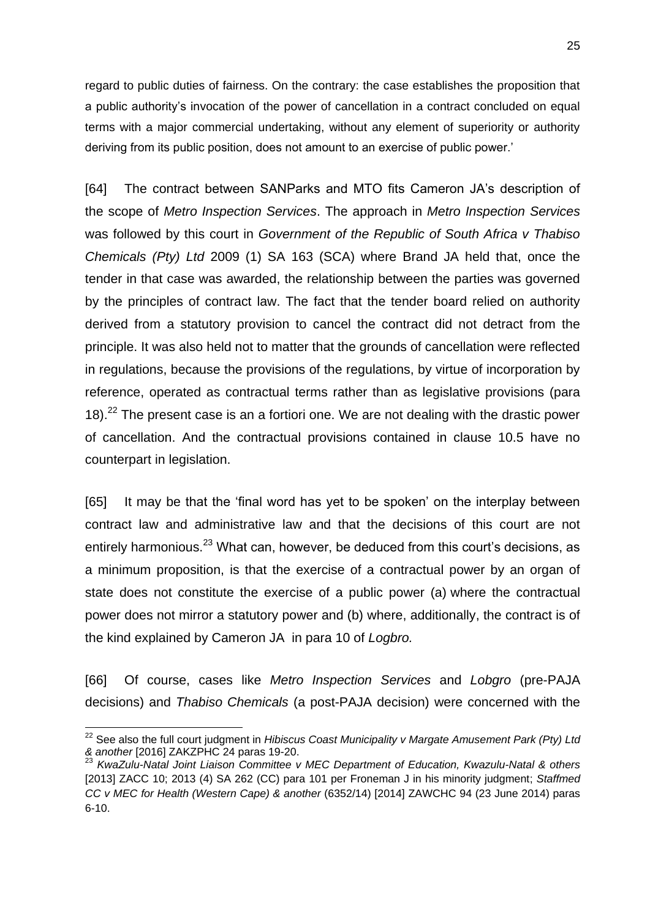regard to public duties of fairness. On the contrary: the case establishes the proposition that a public authority's invocation of the power of cancellation in a contract concluded on equal terms with a major commercial undertaking, without any element of superiority or authority deriving from its public position, does not amount to an exercise of public power.'

[64] The contract between SANParks and MTO fits Cameron JA's description of the scope of *Metro Inspection Services*. The approach in *Metro Inspection Services*  was followed by this court in *Government of the Republic of South Africa v Thabiso Chemicals (Pty) Ltd* 2009 (1) SA 163 (SCA) where Brand JA held that, once the tender in that case was awarded, the relationship between the parties was governed by the principles of contract law. The fact that the tender board relied on authority derived from a statutory provision to cancel the contract did not detract from the principle. It was also held not to matter that the grounds of cancellation were reflected in regulations, because the provisions of the regulations, by virtue of incorporation by reference, operated as contractual terms rather than as legislative provisions (para 18).<sup>22</sup> The present case is an a fortiori one. We are not dealing with the drastic power of cancellation. And the contractual provisions contained in clause 10.5 have no counterpart in legislation.

[65] It may be that the 'final word has yet to be spoken' on the interplay between contract law and administrative law and that the decisions of this court are not entirely harmonious.<sup>23</sup> What can, however, be deduced from this court's decisions, as a minimum proposition, is that the exercise of a contractual power by an organ of state does not constitute the exercise of a public power (a) where the contractual power does not mirror a statutory power and (b) where, additionally, the contract is of the kind explained by Cameron JA in para 10 of *Logbro.* 

[66] Of course, cases like *Metro Inspection Services* and *Lobgro* (pre-PAJA decisions) and *Thabiso Chemicals* (a post-PAJA decision) were concerned with the

**.** 

<sup>&</sup>lt;sup>22</sup> See also the full court judgment in *Hibiscus Coast Municipality v Margate Amusement Park (Pty) Ltd & another* [2016] ZAKZPHC 24 paras 19-20.<br><sup>23</sup> KursZuli Martinian 19-20.

<sup>23</sup> *KwaZulu-Natal Joint Liaison Committee v MEC Department of Education, Kwazulu-Natal & others* [2013] ZACC 10; 2013 (4) SA 262 (CC) para 101 per Froneman J in his minority judgment; *Staffmed CC v MEC for Health (Western Cape) & another* (6352/14) [2014] ZAWCHC 94 (23 June 2014) paras 6-10.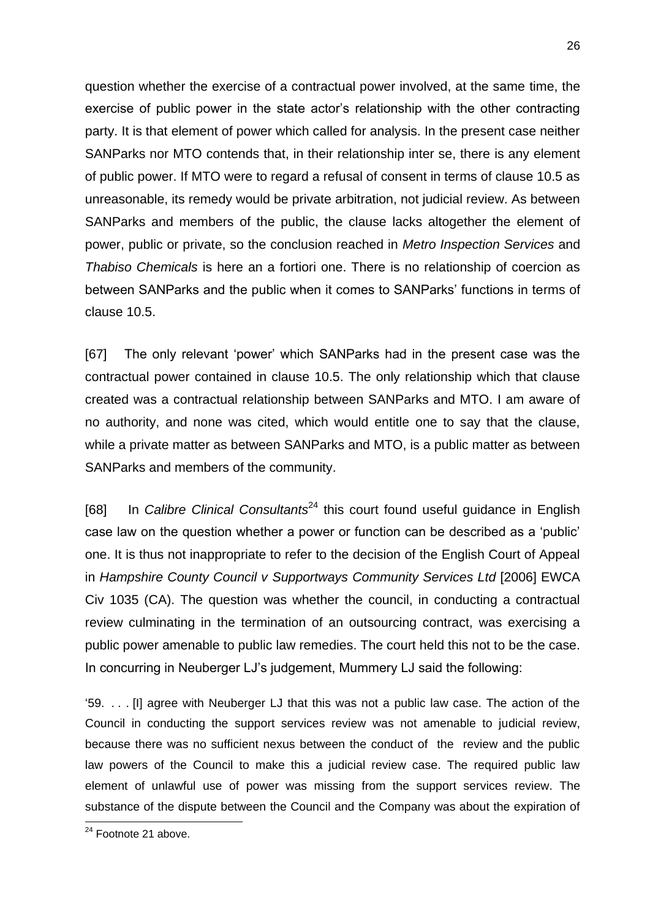question whether the exercise of a contractual power involved, at the same time, the exercise of public power in the state actor's relationship with the other contracting party. It is that element of power which called for analysis. In the present case neither SANParks nor MTO contends that, in their relationship inter se, there is any element of public power. If MTO were to regard a refusal of consent in terms of clause 10.5 as unreasonable, its remedy would be private arbitration, not judicial review. As between SANParks and members of the public, the clause lacks altogether the element of power, public or private, so the conclusion reached in *Metro Inspection Services* and *Thabiso Chemicals* is here an a fortiori one. There is no relationship of coercion as between SANParks and the public when it comes to SANParks' functions in terms of clause 10.5.

[67] The only relevant 'power' which SANParks had in the present case was the contractual power contained in clause 10.5. The only relationship which that clause created was a contractual relationship between SANParks and MTO. I am aware of no authority, and none was cited, which would entitle one to say that the clause, while a private matter as between SANParks and MTO, is a public matter as between SANParks and members of the community.

[68] In *Calibre Clinical Consultants*<sup>24</sup> this court found useful guidance in English case law on the question whether a power or function can be described as a 'public' one. It is thus not inappropriate to refer to the decision of the English Court of Appeal in *Hampshire County Council v Supportways Community Services Ltd* [2006] EWCA Civ 1035 (CA). The question was whether the council, in conducting a contractual review culminating in the termination of an outsourcing contract, was exercising a public power amenable to public law remedies. The court held this not to be the case. In concurring in Neuberger LJ's judgement, Mummery LJ said the following:

'59. . . . [I] agree with Neuberger LJ that this was not a public law case. The action of the Council in conducting the support services review was not amenable to judicial review, because there was no sufficient nexus between the conduct of the review and the public law powers of the Council to make this a judicial review case. The required public law element of unlawful use of power was missing from the support services review. The substance of the dispute between the Council and the Company was about the expiration of

**.** 

<sup>&</sup>lt;sup>24</sup> Footnote 21 above.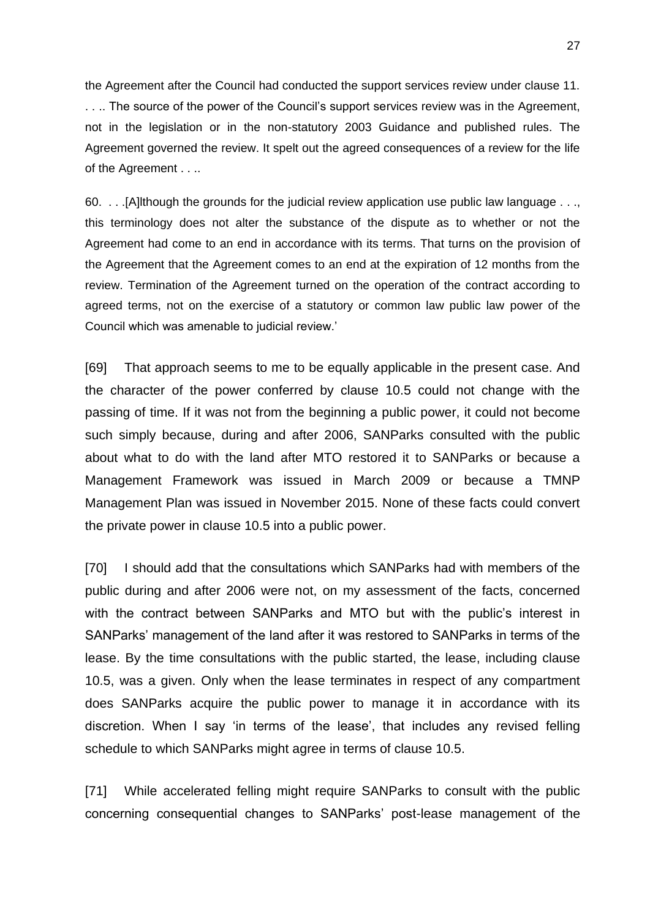the Agreement after the Council had conducted the support services review under clause 11. . . .. The source of the power of the Council's support services review was in the Agreement, not in the legislation or in the non-statutory 2003 Guidance and published rules. The Agreement governed the review. It spelt out the agreed consequences of a review for the life of the Agreement . . ..

60. . . .[A]lthough the grounds for the judicial review application use public law language . . ., this terminology does not alter the substance of the dispute as to whether or not the Agreement had come to an end in accordance with its terms. That turns on the provision of the Agreement that the Agreement comes to an end at the expiration of 12 months from the review. Termination of the Agreement turned on the operation of the contract according to agreed terms, not on the exercise of a statutory or common law public law power of the Council which was amenable to judicial review.'

[69] That approach seems to me to be equally applicable in the present case. And the character of the power conferred by clause 10.5 could not change with the passing of time. If it was not from the beginning a public power, it could not become such simply because, during and after 2006, SANParks consulted with the public about what to do with the land after MTO restored it to SANParks or because a Management Framework was issued in March 2009 or because a TMNP Management Plan was issued in November 2015. None of these facts could convert the private power in clause 10.5 into a public power.

[70] I should add that the consultations which SANParks had with members of the public during and after 2006 were not, on my assessment of the facts, concerned with the contract between SANParks and MTO but with the public's interest in SANParks' management of the land after it was restored to SANParks in terms of the lease. By the time consultations with the public started, the lease, including clause 10.5, was a given. Only when the lease terminates in respect of any compartment does SANParks acquire the public power to manage it in accordance with its discretion. When I say 'in terms of the lease', that includes any revised felling schedule to which SANParks might agree in terms of clause 10.5.

[71] While accelerated felling might require SANParks to consult with the public concerning consequential changes to SANParks' post-lease management of the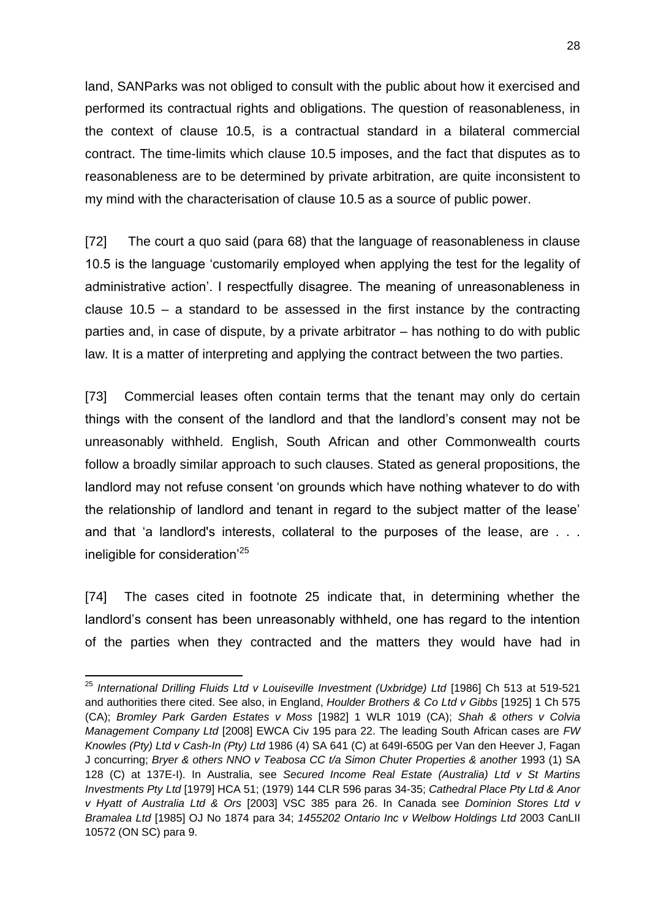land, SANParks was not obliged to consult with the public about how it exercised and performed its contractual rights and obligations. The question of reasonableness, in the context of clause 10.5, is a contractual standard in a bilateral commercial contract. The time-limits which clause 10.5 imposes, and the fact that disputes as to reasonableness are to be determined by private arbitration, are quite inconsistent to my mind with the characterisation of clause 10.5 as a source of public power.

[72] The court a quo said (para 68) that the language of reasonableness in clause 10.5 is the language 'customarily employed when applying the test for the legality of administrative action'. I respectfully disagree. The meaning of unreasonableness in clause 10.5 – a standard to be assessed in the first instance by the contracting parties and, in case of dispute, by a private arbitrator – has nothing to do with public law. It is a matter of interpreting and applying the contract between the two parties.

[73] Commercial leases often contain terms that the tenant may only do certain things with the consent of the landlord and that the landlord's consent may not be unreasonably withheld. English, South African and other Commonwealth courts follow a broadly similar approach to such clauses. Stated as general propositions, the landlord may not refuse consent 'on grounds which have nothing whatever to do with the relationship of landlord and tenant in regard to the subject matter of the lease' and that 'a landlord's interests, collateral to the purposes of the lease, are . . . ineligible for consideration'<sup>25</sup>

[74] The cases cited in footnote 25 indicate that, in determining whether the landlord's consent has been unreasonably withheld, one has regard to the intention of the parties when they contracted and the matters they would have had in

 $\overline{\phantom{a}}$ <sup>25</sup> International Drilling Fluids Ltd v Louiseville Investment (Uxbridge) Ltd [1986] Ch 513 at 519-521 and authorities there cited. See also, in England, *Houlder Brothers & Co Ltd v Gibbs* [1925] 1 Ch 575 (CA); *Bromley Park Garden Estates v Moss* [1982] 1 WLR 1019 (CA); *Shah & others v Colvia Management Company Ltd* [2008] EWCA Civ 195 para 22. The leading South African cases are *FW Knowles (Pty) Ltd v Cash-In (Pty) Ltd* 1986 (4) SA 641 (C) at 649I-650G per Van den Heever J, Fagan J concurring; *Bryer & others NNO v Teabosa CC t/a Simon Chuter Properties & another* 1993 (1) SA 128 (C) at 137E-I). In Australia, see *Secured Income Real Estate (Australia) Ltd v St Martins Investments Pty Ltd* [1979] HCA 51; (1979) 144 CLR 596 paras 34-35; *Cathedral Place Pty Ltd & Anor v Hyatt of Australia Ltd & Ors* [2003] VSC 385 para 26. In Canada see *Dominion Stores Ltd v Bramalea Ltd* [1985] OJ No 1874 para 34; *1455202 Ontario Inc v Welbow Holdings Ltd* [2003 CanLII](https://www.canlii.org/en/on/onsc/doc/2003/2003canlii10572/2003canlii10572.html)  [10572 \(ON SC\)](https://www.canlii.org/en/on/onsc/doc/2003/2003canlii10572/2003canlii10572.html) para 9.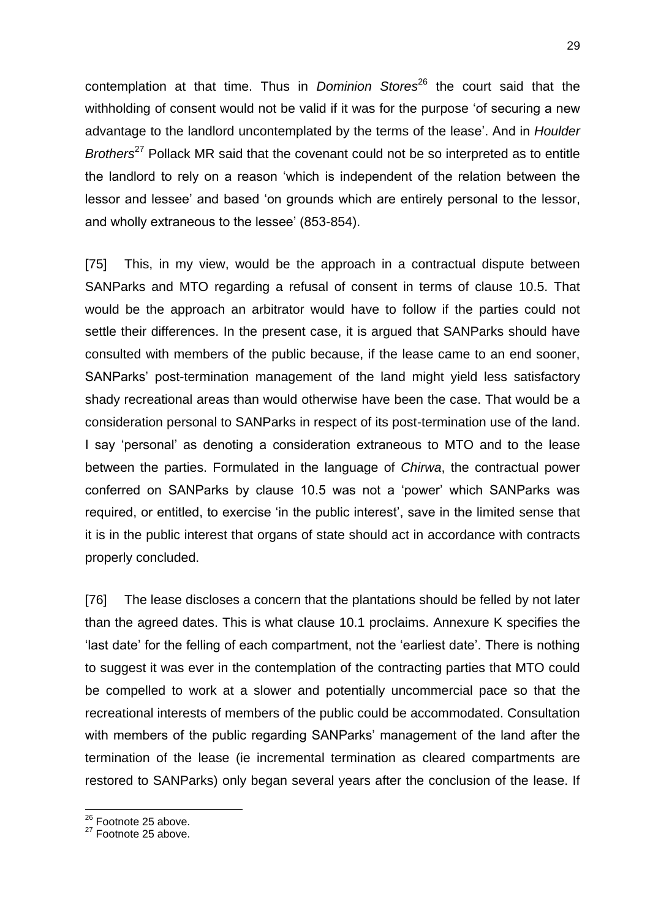contemplation at that time. Thus in *Dominion Stores*<sup>26</sup> the court said that the withholding of consent would not be valid if it was for the purpose 'of securing a new advantage to the landlord uncontemplated by the terms of the lease'. And in *Houlder Brothers*<sup>27</sup> Pollack MR said that the covenant could not be so interpreted as to entitle the landlord to rely on a reason 'which is independent of the relation between the lessor and lessee' and based 'on grounds which are entirely personal to the lessor, and wholly extraneous to the lessee' (853-854).

[75] This, in my view, would be the approach in a contractual dispute between SANParks and MTO regarding a refusal of consent in terms of clause 10.5. That would be the approach an arbitrator would have to follow if the parties could not settle their differences. In the present case, it is argued that SANParks should have consulted with members of the public because, if the lease came to an end sooner, SANParks' post-termination management of the land might yield less satisfactory shady recreational areas than would otherwise have been the case. That would be a consideration personal to SANParks in respect of its post-termination use of the land. I say 'personal' as denoting a consideration extraneous to MTO and to the lease between the parties. Formulated in the language of *Chirwa*, the contractual power conferred on SANParks by clause 10.5 was not a 'power' which SANParks was required, or entitled, to exercise 'in the public interest', save in the limited sense that it is in the public interest that organs of state should act in accordance with contracts properly concluded.

[76] The lease discloses a concern that the plantations should be felled by not later than the agreed dates. This is what clause 10.1 proclaims. Annexure K specifies the 'last date' for the felling of each compartment, not the 'earliest date'. There is nothing to suggest it was ever in the contemplation of the contracting parties that MTO could be compelled to work at a slower and potentially uncommercial pace so that the recreational interests of members of the public could be accommodated. Consultation with members of the public regarding SANParks' management of the land after the termination of the lease (ie incremental termination as cleared compartments are restored to SANParks) only began several years after the conclusion of the lease. If

 $\overline{\phantom{a}}$ 

<sup>&</sup>lt;sup>26</sup> Footnote 25 above.

<sup>&</sup>lt;sup>27</sup> Footnote 25 above.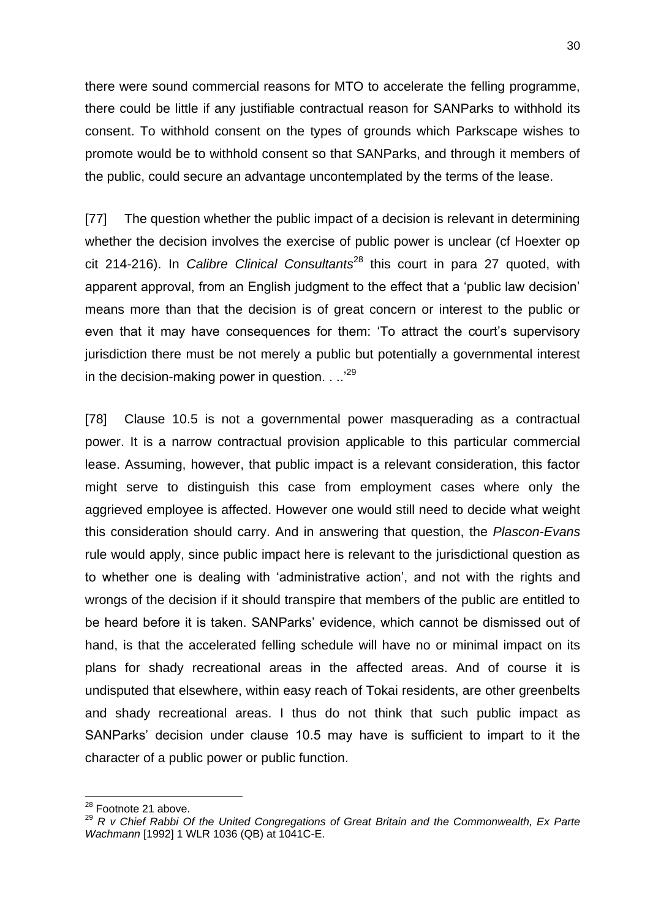there were sound commercial reasons for MTO to accelerate the felling programme, there could be little if any justifiable contractual reason for SANParks to withhold its consent. To withhold consent on the types of grounds which Parkscape wishes to promote would be to withhold consent so that SANParks, and through it members of the public, could secure an advantage uncontemplated by the terms of the lease.

[77] The question whether the public impact of a decision is relevant in determining whether the decision involves the exercise of public power is unclear (cf Hoexter op cit 214-216). In *Calibre Clinical Consultants*<sup>28</sup> this court in para 27 quoted, with apparent approval, from an English judgment to the effect that a 'public law decision' means more than that the decision is of great concern or interest to the public or even that it may have consequences for them: 'To attract the court's supervisory jurisdiction there must be not merely a public but potentially a governmental interest in the decision-making power in question. . .<sup>29</sup>

[78] Clause 10.5 is not a governmental power masquerading as a contractual power. It is a narrow contractual provision applicable to this particular commercial lease. Assuming, however, that public impact is a relevant consideration, this factor might serve to distinguish this case from employment cases where only the aggrieved employee is affected. However one would still need to decide what weight this consideration should carry. And in answering that question, the *Plascon-Evans* rule would apply, since public impact here is relevant to the jurisdictional question as to whether one is dealing with 'administrative action', and not with the rights and wrongs of the decision if it should transpire that members of the public are entitled to be heard before it is taken. SANParks' evidence, which cannot be dismissed out of hand, is that the accelerated felling schedule will have no or minimal impact on its plans for shady recreational areas in the affected areas. And of course it is undisputed that elsewhere, within easy reach of Tokai residents, are other greenbelts and shady recreational areas. I thus do not think that such public impact as SANParks' decision under clause 10.5 may have is sufficient to impart to it the character of a public power or public function.

 $\overline{\phantom{a}}$ 

<sup>&</sup>lt;sup>28</sup> Footnote 21 above.

<sup>29</sup> *R v Chief Rabbi Of the United Congregations of Great Britain and the Commonwealth, Ex Parte Wachmann* [1992] 1 WLR 1036 (QB) at 1041C-E.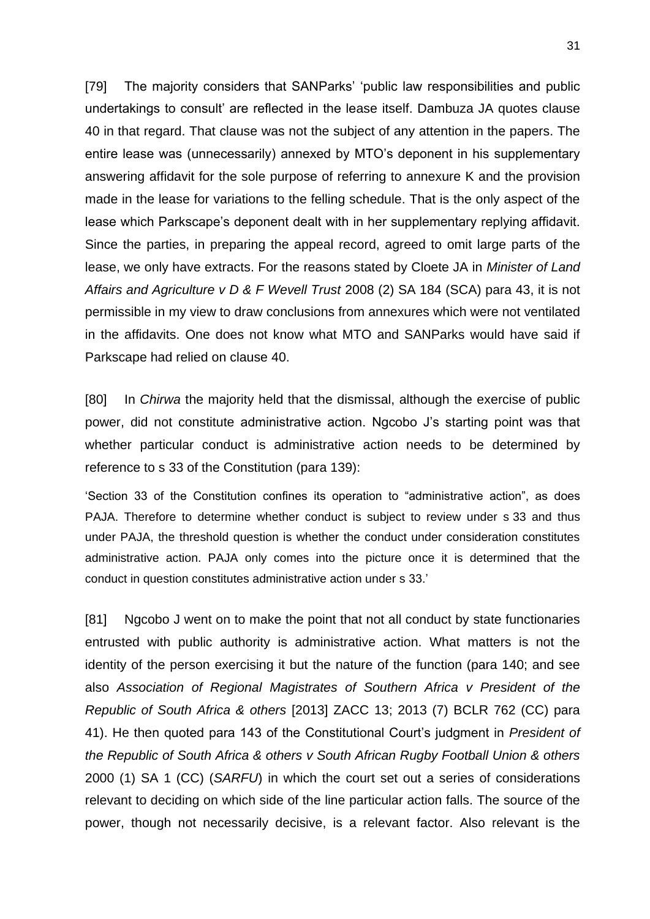[79] The majority considers that SANParks' 'public law responsibilities and public undertakings to consult' are reflected in the lease itself. Dambuza JA quotes clause 40 in that regard. That clause was not the subject of any attention in the papers. The entire lease was (unnecessarily) annexed by MTO's deponent in his supplementary answering affidavit for the sole purpose of referring to annexure K and the provision made in the lease for variations to the felling schedule. That is the only aspect of the lease which Parkscape's deponent dealt with in her supplementary replying affidavit. Since the parties, in preparing the appeal record, agreed to omit large parts of the lease, we only have extracts. For the reasons stated by Cloete JA in *Minister of Land Affairs and Agriculture v D & F Wevell Trust* 2008 (2) SA 184 (SCA) para 43, it is not permissible in my view to draw conclusions from annexures which were not ventilated in the affidavits. One does not know what MTO and SANParks would have said if Parkscape had relied on clause 40.

[80] In *Chirwa* the majority held that the dismissal, although the exercise of public power, did not constitute administrative action. Ngcobo J's starting point was that whether particular conduct is administrative action needs to be determined by reference to s 33 of the Constitution (para 139):

'Section 33 of the Constitution confines its operation to "administrative action", as does PAJA. Therefore to determine whether conduct is subject to review under s 33 and thus under PAJA, the threshold question is whether the conduct under consideration constitutes administrative action. PAJA only comes into the picture once it is determined that the conduct in question constitutes administrative action under s 33.'

[81] Ngcobo J went on to make the point that not all conduct by state functionaries entrusted with public authority is administrative action. What matters is not the identity of the person exercising it but the nature of the function (para 140; and see also *Association of Regional Magistrates of Southern Africa v President of the Republic of South Africa & others* [2013] ZACC 13; 2013 (7) BCLR 762 (CC) para 41). He then quoted para 143 of the Constitutional Court's judgment in *President of the Republic of South Africa & others v South African Rugby Football Union & others*  2000 (1) SA 1 (CC) (*SARFU*) in which the court set out a series of considerations relevant to deciding on which side of the line particular action falls. The source of the power, though not necessarily decisive, is a relevant factor. Also relevant is the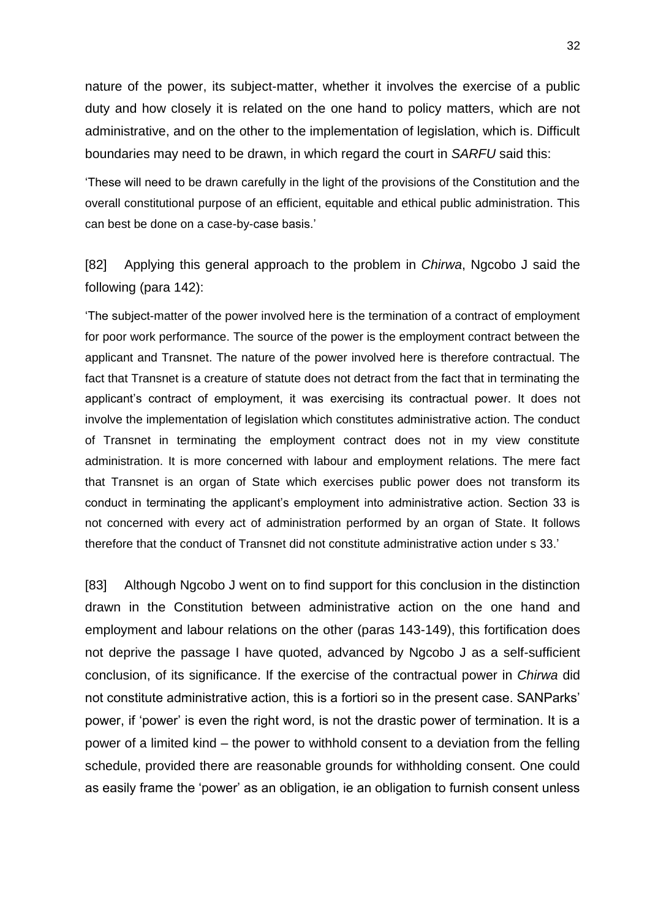nature of the power, its subject-matter, whether it involves the exercise of a public duty and how closely it is related on the one hand to policy matters, which are not administrative, and on the other to the implementation of legislation, which is. Difficult boundaries may need to be drawn, in which regard the court in *SARFU* said this:

'These will need to be drawn carefully in the light of the provisions of the Constitution and the overall constitutional purpose of an efficient, equitable and ethical public administration. This can best be done on a case-by-case basis.'

[82] Applying this general approach to the problem in *Chirwa*, Ngcobo J said the following (para 142):

'The subject-matter of the power involved here is the termination of a contract of employment for poor work performance. The source of the power is the employment contract between the applicant and Transnet. The nature of the power involved here is therefore contractual. The fact that Transnet is a creature of statute does not detract from the fact that in terminating the applicant's contract of employment, it was exercising its contractual power. It does not involve the implementation of legislation which constitutes administrative action. The conduct of Transnet in terminating the employment contract does not in my view constitute administration. It is more concerned with labour and employment relations. The mere fact that Transnet is an organ of State which exercises public power does not transform its conduct in terminating the applicant's employment into administrative action. Section 33 is not concerned with every act of administration performed by an organ of State. It follows therefore that the conduct of Transnet did not constitute administrative action under s 33.'

[83] Although Ngcobo J went on to find support for this conclusion in the distinction drawn in the Constitution between administrative action on the one hand and employment and labour relations on the other (paras 143-149), this fortification does not deprive the passage I have quoted, advanced by Ngcobo J as a self-sufficient conclusion, of its significance. If the exercise of the contractual power in *Chirwa* did not constitute administrative action, this is a fortiori so in the present case. SANParks' power, if 'power' is even the right word, is not the drastic power of termination. It is a power of a limited kind – the power to withhold consent to a deviation from the felling schedule, provided there are reasonable grounds for withholding consent. One could as easily frame the 'power' as an obligation, ie an obligation to furnish consent unless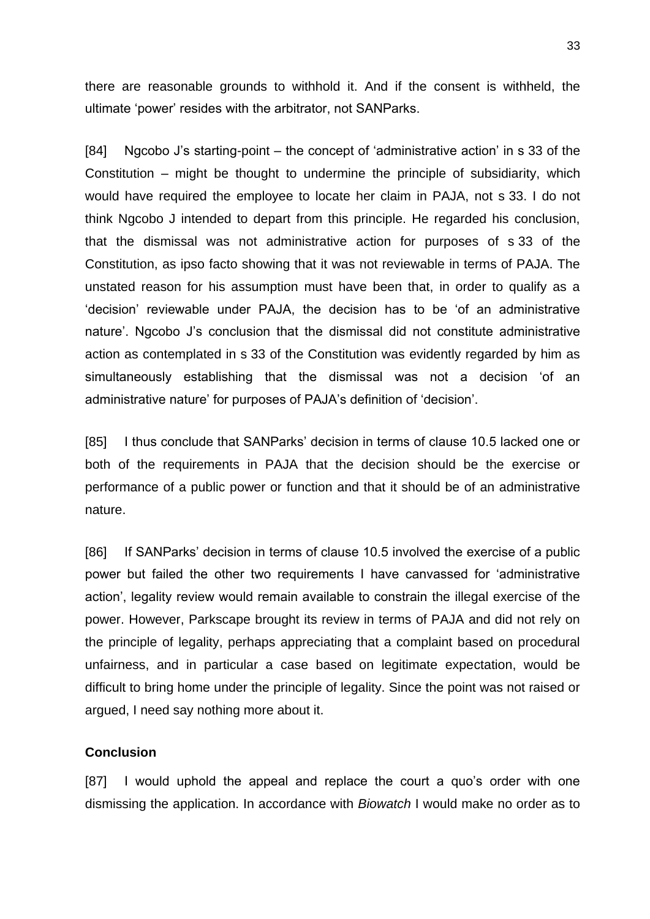there are reasonable grounds to withhold it. And if the consent is withheld, the ultimate 'power' resides with the arbitrator, not SANParks.

[84] Ngcobo J's starting-point – the concept of 'administrative action' in s 33 of the Constitution – might be thought to undermine the principle of subsidiarity, which would have required the employee to locate her claim in PAJA, not s 33. I do not think Ngcobo J intended to depart from this principle. He regarded his conclusion, that the dismissal was not administrative action for purposes of s 33 of the Constitution, as ipso facto showing that it was not reviewable in terms of PAJA. The unstated reason for his assumption must have been that, in order to qualify as a 'decision' reviewable under PAJA, the decision has to be 'of an administrative nature'. Ngcobo J's conclusion that the dismissal did not constitute administrative action as contemplated in s 33 of the Constitution was evidently regarded by him as simultaneously establishing that the dismissal was not a decision 'of an administrative nature' for purposes of PAJA's definition of 'decision'.

[85] I thus conclude that SANParks' decision in terms of clause 10.5 lacked one or both of the requirements in PAJA that the decision should be the exercise or performance of a public power or function and that it should be of an administrative nature.

[86] If SANParks' decision in terms of clause 10.5 involved the exercise of a public power but failed the other two requirements I have canvassed for 'administrative action', legality review would remain available to constrain the illegal exercise of the power. However, Parkscape brought its review in terms of PAJA and did not rely on the principle of legality, perhaps appreciating that a complaint based on procedural unfairness, and in particular a case based on legitimate expectation, would be difficult to bring home under the principle of legality. Since the point was not raised or argued, I need say nothing more about it.

#### **Conclusion**

[87] I would uphold the appeal and replace the court a quo's order with one dismissing the application. In accordance with *Biowatch* I would make no order as to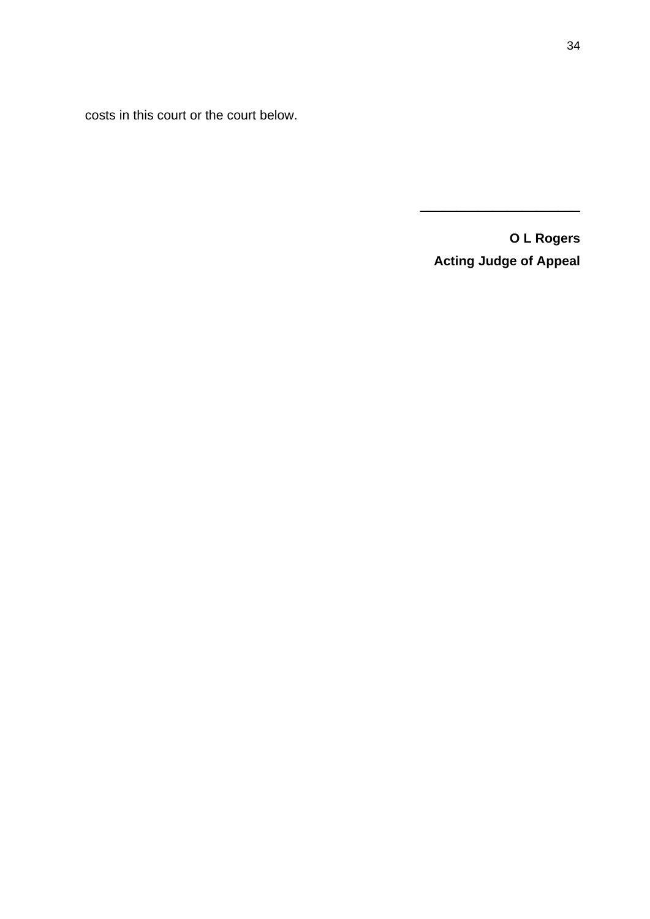costs in this court or the court below.

**O L Rogers Acting Judge of Appeal**

 $\overline{\phantom{a}}$  , where  $\overline{\phantom{a}}$  , where  $\overline{\phantom{a}}$  , where  $\overline{\phantom{a}}$